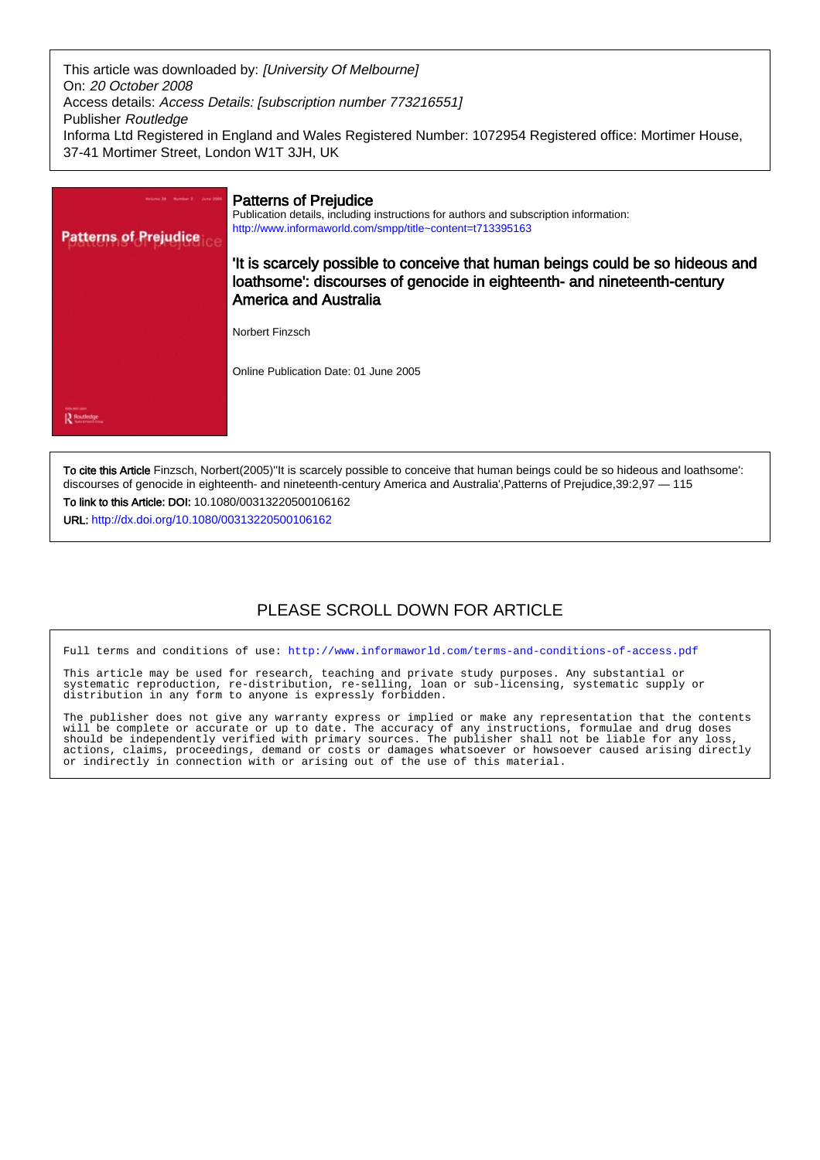This article was downloaded by: [University Of Melbourne] On: 20 October 2008 Access details: Access Details: [subscription number 773216551] Publisher Routledge Informa Ltd Registered in England and Wales Registered Number: 1072954 Registered office: Mortimer House, 37-41 Mortimer Street, London W1T 3JH, UK



To cite this Article Finzsch, Norbert(2005)''It is scarcely possible to conceive that human beings could be so hideous and loathsome': discourses of genocide in eighteenth- and nineteenth-century America and Australia',Patterns of Prejudice,39:2,97 — 115 To link to this Article: DOI: 10.1080/00313220500106162

URL: <http://dx.doi.org/10.1080/00313220500106162>

# PLEASE SCROLL DOWN FOR ARTICLE

Full terms and conditions of use:<http://www.informaworld.com/terms-and-conditions-of-access.pdf>

This article may be used for research, teaching and private study purposes. Any substantial or systematic reproduction, re-distribution, re-selling, loan or sub-licensing, systematic supply or distribution in any form to anyone is expressly forbidden.

The publisher does not give any warranty express or implied or make any representation that the contents will be complete or accurate or up to date. The accuracy of any instructions, formulae and drug doses should be independently verified with primary sources. The publisher shall not be liable for any loss, actions, claims, proceedings, demand or costs or damages whatsoever or howsoever caused arising directly or indirectly in connection with or arising out of the use of this material.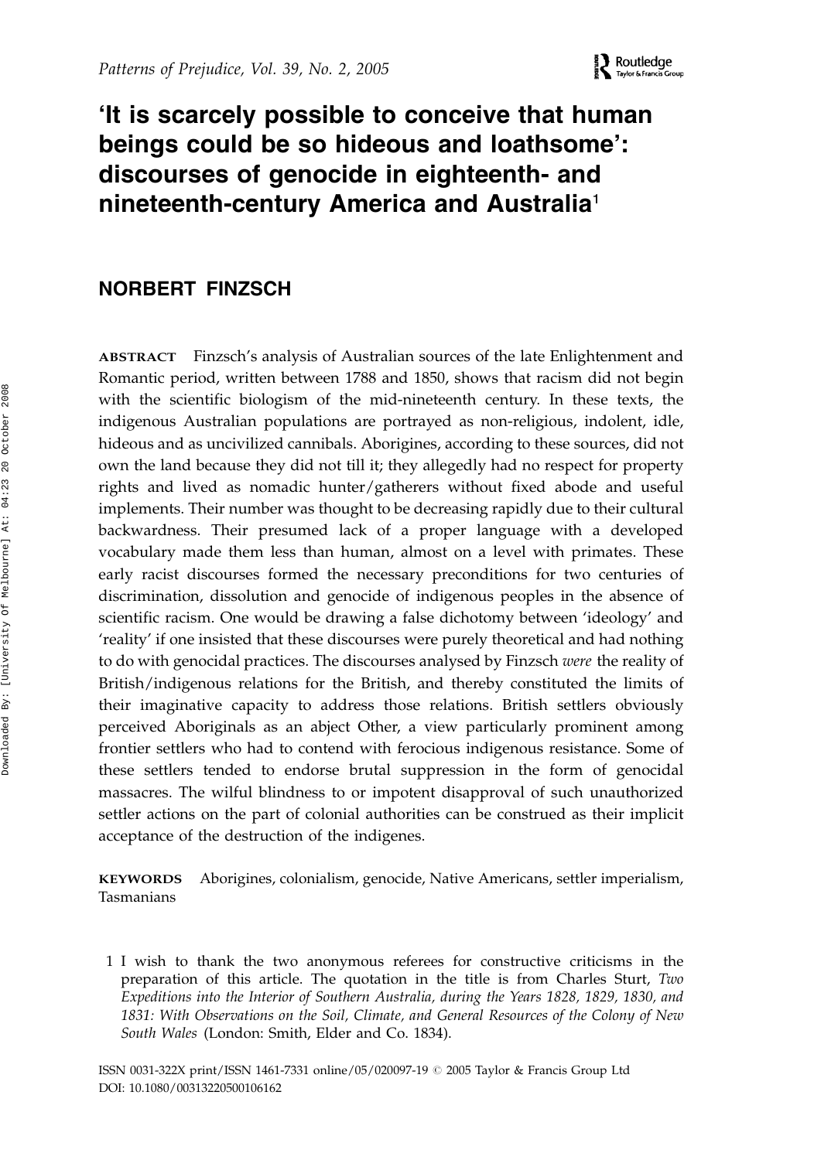# 'It is scarcely possible to conceive that human beings could be so hideous and loathsome': discourses of genocide in eighteenth- and nineteenth-century America and Australia<sup>1</sup>

## NORBERT FINZSCH

ABSTRACT Finzsch's analysis of Australian sources of the late Enlightenment and Romantic period, written between 1788 and 1850, shows that racism did not begin with the scientific biologism of the mid-nineteenth century. In these texts, the indigenous Australian populations are portrayed as non-religious, indolent, idle, hideous and as uncivilized cannibals. Aborigines, according to these sources, did not own the land because they did not till it; they allegedly had no respect for property rights and lived as nomadic hunter/gatherers without fixed abode and useful implements. Their number was thought to be decreasing rapidly due to their cultural backwardness. Their presumed lack of a proper language with a developed vocabulary made them less than human, almost on a level with primates. These early racist discourses formed the necessary preconditions for two centuries of discrimination, dissolution and genocide of indigenous peoples in the absence of scientific racism. One would be drawing a false dichotomy between 'ideology' and 'reality' if one insisted that these discourses were purely theoretical and had nothing to do with genocidal practices. The discourses analysed by Finzsch were the reality of British/indigenous relations for the British, and thereby constituted the limits of their imaginative capacity to address those relations. British settlers obviously perceived Aboriginals as an abject Other, a view particularly prominent among frontier settlers who had to contend with ferocious indigenous resistance. Some of these settlers tended to endorse brutal suppression in the form of genocidal massacres. The wilful blindness to or impotent disapproval of such unauthorized settler actions on the part of colonial authorities can be construed as their implicit acceptance of the destruction of the indigenes.

KEYWORDS Aborigines, colonialism, genocide, Native Americans, settler imperialism, Tasmanians

1 I wish to thank the two anonymous referees for constructive criticisms in the preparation of this article. The quotation in the title is from Charles Sturt, Two Expeditions into the Interior of Southern Australia, during the Years 1828, 1829, 1830, and 1831: With Observations on the Soil, Climate, and General Resources of the Colony of New South Wales (London: Smith, Elder and Co. 1834).

ISSN 0031-322X print/ISSN 1461-7331 online/05/020097-19 © 2005 Taylor & Francis Group Ltd DOI: 10.1080/00313220500106162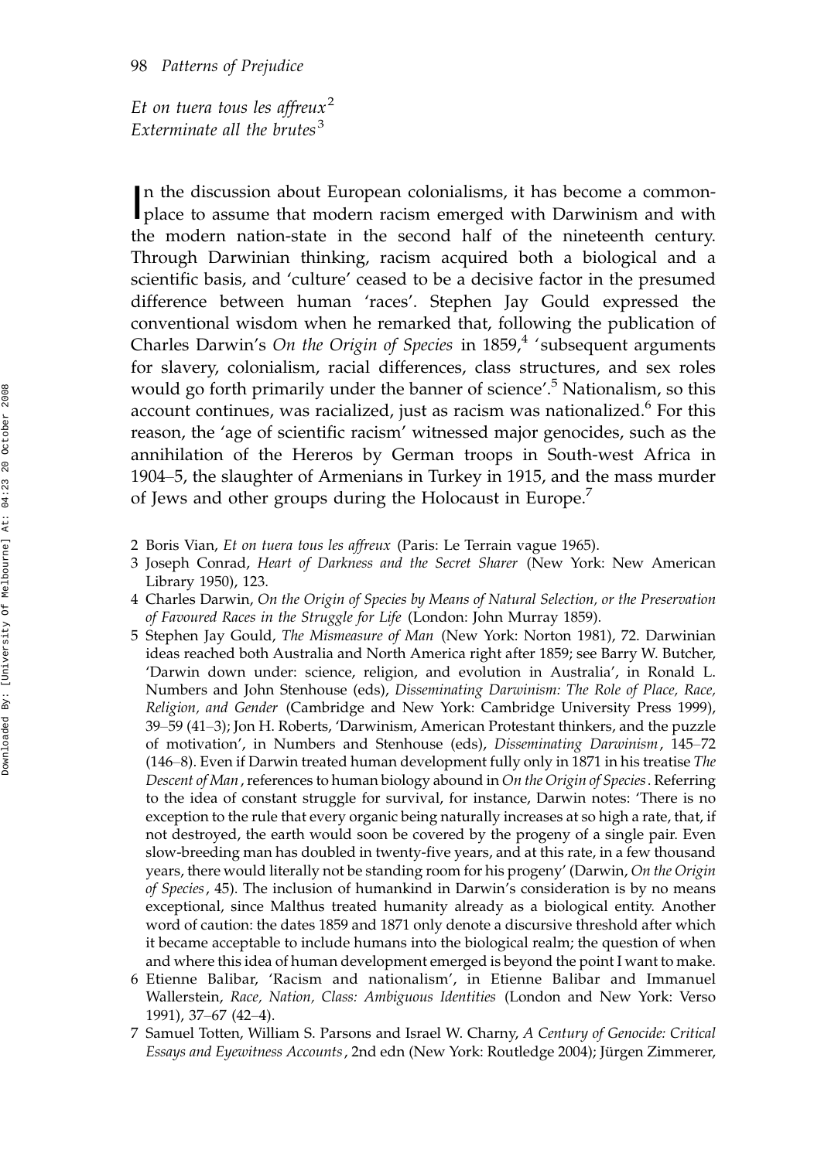Et on tuera tous les affreux<sup>2</sup> Exterminate all the brutes<sup>3</sup>

In the discussion about European colonialisms, it has become a common-<br>place to assume that modern racism emerged with Darwinism and with n the discussion about European colonialisms, it has become a commonthe modern nation-state in the second half of the nineteenth century. Through Darwinian thinking, racism acquired both a biological and a scientific basis, and 'culture' ceased to be a decisive factor in the presumed difference between human 'races'. Stephen Jay Gould expressed the conventional wisdom when he remarked that, following the publication of Charles Darwin's On the Origin of Species in  $1859<sup>4</sup>$  'subsequent arguments for slavery, colonialism, racial differences, class structures, and sex roles would go forth primarily under the banner of science'.<sup>5</sup> Nationalism, so this account continues, was racialized, just as racism was nationalized.<sup>6</sup> For this reason, the 'age of scientific racism' witnessed major genocides, such as the annihilation of the Hereros by German troops in South-west Africa in 1904–5, the slaughter of Armenians in Turkey in 1915, and the mass murder of Jews and other groups during the Holocaust in Europe.<sup>7</sup>

2 Boris Vian, Et on tuera tous les affreux (Paris: Le Terrain vague 1965).

- 3 Joseph Conrad, Heart of Darkness and the Secret Sharer (New York: New American Library 1950), 123.
- 4 Charles Darwin, On the Origin of Species by Means of Natural Selection, or the Preservation of Favoured Races in the Struggle for Life (London: John Murray 1859).
- 5 Stephen Jay Gould, The Mismeasure of Man (New York: Norton 1981), 72. Darwinian ideas reached both Australia and North America right after 1859; see Barry W. Butcher, 'Darwin down under: science, religion, and evolution in Australia', in Ronald L. Numbers and John Stenhouse (eds), Disseminating Darwinism: The Role of Place, Race, Religion, and Gender (Cambridge and New York: Cambridge University Press 1999), 39–59 (41–3); Jon H. Roberts, 'Darwinism, American Protestant thinkers, and the puzzle of motivation', in Numbers and Stenhouse (eds), Disseminating Darwinism, 145-72 (146–8). Even if Darwin treated human development fully only in 1871 in his treatise The Descent of Man, references to human biology abound in On the Origin of Species. Referring to the idea of constant struggle for survival, for instance, Darwin notes: 'There is no exception to the rule that every organic being naturally increases at so high a rate, that, if not destroyed, the earth would soon be covered by the progeny of a single pair. Even slow-breeding man has doubled in twenty-five years, and at this rate, in a few thousand years, there would literally not be standing room for his progeny' (Darwin, On the Origin of Species, 45). The inclusion of humankind in Darwin's consideration is by no means exceptional, since Malthus treated humanity already as a biological entity. Another word of caution: the dates 1859 and 1871 only denote a discursive threshold after which it became acceptable to include humans into the biological realm; the question of when and where this idea of human development emerged is beyond the point I want to make.
- 6 Etienne Balibar, 'Racism and nationalism', in Etienne Balibar and Immanuel Wallerstein, Race, Nation, Class: Ambiguous Identities (London and New York: Verso 1991), 37–67 (42–4).

<sup>7</sup> Samuel Totten, William S. Parsons and Israel W. Charny, A Century of Genocide: Critical Essays and Eyewitness Accounts, 2nd edn (New York: Routledge 2004); Jürgen Zimmerer,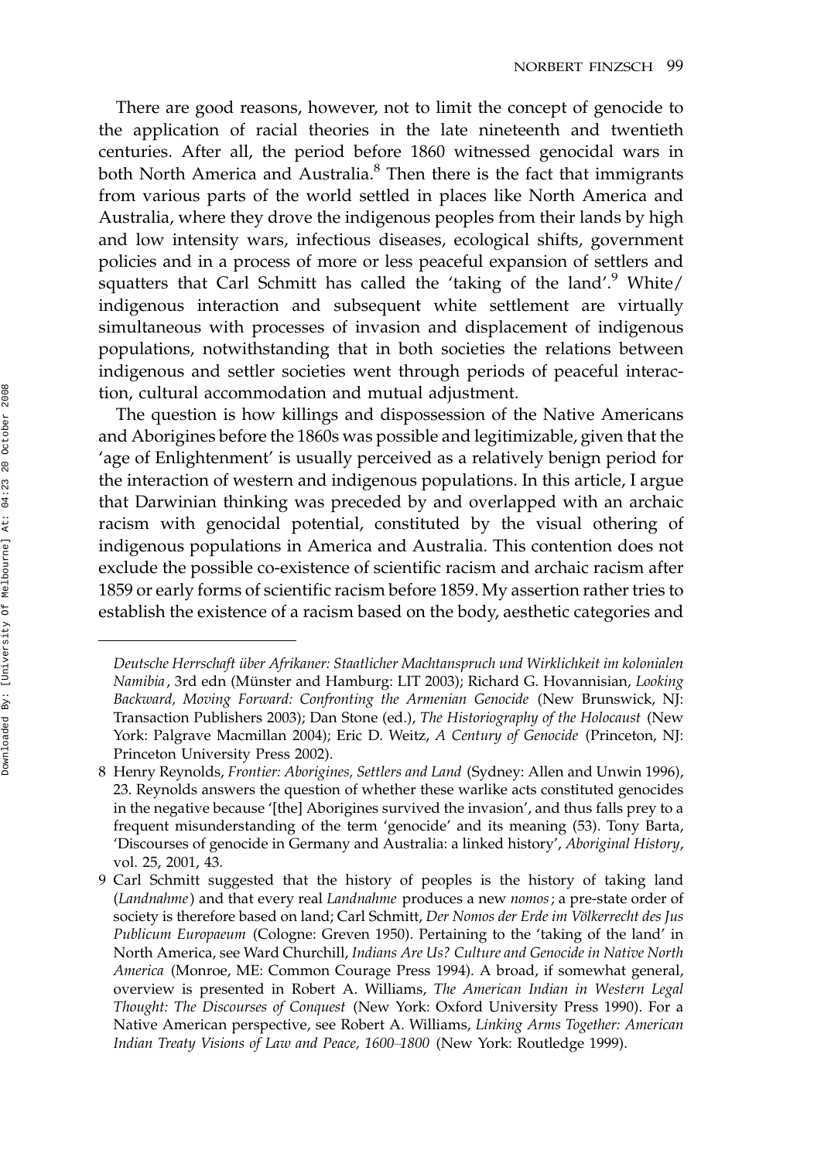There are good reasons, however, not to limit the concept of genocide to the application of racial theories in the late nineteenth and twentieth centuries. After all, the period before 1860 witnessed genocidal wars in both North America and Australia.<sup>8</sup> Then there is the fact that immigrants from various parts of the world settled in places like North America and Australia, where they drove the indigenous peoples from their lands by high and low intensity wars, infectious diseases, ecological shifts, government policies and in a process of more or less peaceful expansion of settlers and squatters that Carl Schmitt has called the 'taking of the land'.<sup>9</sup> White/ indigenous interaction and subsequent white settlement are virtually simultaneous with processes of invasion and displacement of indigenous populations, notwithstanding that in both societies the relations between indigenous and settler societies went through periods of peaceful interaction, cultural accommodation and mutual adjustment.

The question is how killings and dispossession of the Native Americans and Aborigines before the 1860s was possible and legitimizable, given that the 'age of Enlightenment' is usually perceived as a relatively benign period for the interaction of western and indigenous populations. In this article, I argue that Darwinian thinking was preceded by and overlapped with an archaic racism with genocidal potential, constituted by the visual othering of indigenous populations in America and Australia. This contention does not exclude the possible co-existence of scientific racism and archaic racism after 1859 or early forms of scientific racism before 1859. My assertion rather tries to establish the existence of a racism based on the body, aesthetic categories and

Deutsche Herrschaft über Afrikaner: Staatlicher Machtanspruch und Wirklichkeit im kolonialen Namibia, 3rd edn (Münster and Hamburg: LIT 2003); Richard G. Hovannisian, Looking Backward, Moving Forward: Confronting the Armenian Genocide (New Brunswick, NJ: Transaction Publishers 2003); Dan Stone (ed.), The Historiography of the Holocaust (New York: Palgrave Macmillan 2004); Eric D. Weitz, A Century of Genocide (Princeton, NJ: Princeton University Press 2002).

<sup>8</sup> Henry Reynolds, Frontier: Aborigines, Settlers and Land (Sydney: Allen and Unwin 1996), 23. Reynolds answers the question of whether these warlike acts constituted genocides in the negative because '[the] Aborigines survived the invasion', and thus falls prey to a frequent misunderstanding of the term 'genocide' and its meaning (53). Tony Barta, 'Discourses of genocide in Germany and Australia: a linked history', Aboriginal History, vol. 25, 2001, 43.

<sup>9</sup> Carl Schmitt suggested that the history of peoples is the history of taking land (Landnahme) and that every real Landnahme produces a new nomos; a pre-state order of society is therefore based on land; Carl Schmitt, Der Nomos der Erde im Völkerrecht des Jus Publicum Europaeum (Cologne: Greven 1950). Pertaining to the 'taking of the land' in North America, see Ward Churchill, Indians Are Us? Culture and Genocide in Native North America (Monroe, ME: Common Courage Press 1994). A broad, if somewhat general, overview is presented in Robert A. Williams, The American Indian in Western Legal Thought: The Discourses of Conquest (New York: Oxford University Press 1990). For a Native American perspective, see Robert A. Williams, Linking Arms Together: American Indian Treaty Visions of Law and Peace, 1600-1800 (New York: Routledge 1999).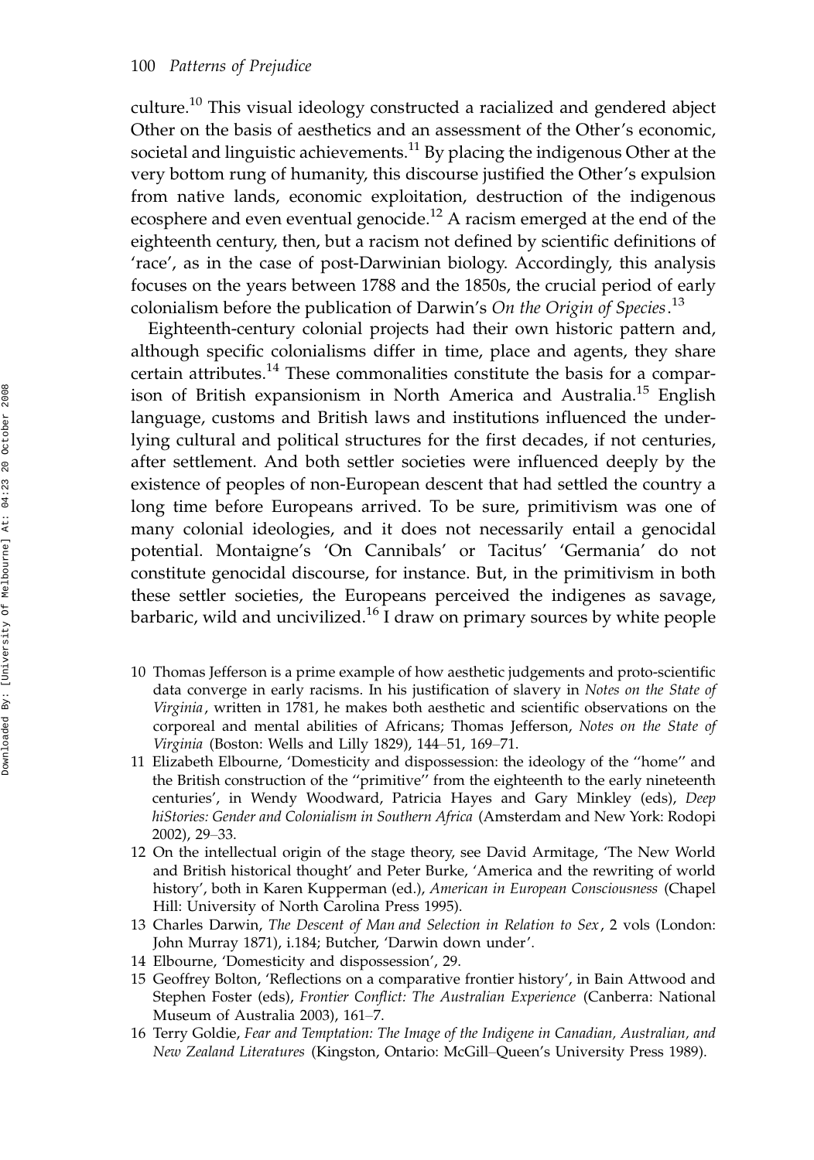culture.<sup>10</sup> This visual ideology constructed a racialized and gendered abject Other on the basis of aesthetics and an assessment of the Other's economic, societal and linguistic achievements.<sup>11</sup> By placing the indigenous Other at the very bottom rung of humanity, this discourse justified the Other's expulsion from native lands, economic exploitation, destruction of the indigenous ecosphere and even eventual genocide.<sup>12</sup> A racism emerged at the end of the eighteenth century, then, but a racism not defined by scientific definitions of 'race', as in the case of post-Darwinian biology. Accordingly, this analysis focuses on the years between 1788 and the 1850s, the crucial period of early colonialism before the publication of Darwin's On the Origin of Species.<sup>13</sup>

Eighteenth-century colonial projects had their own historic pattern and, although specific colonialisms differ in time, place and agents, they share certain attributes.<sup>14</sup> These commonalities constitute the basis for a comparison of British expansionism in North America and Australia.<sup>15</sup> English language, customs and British laws and institutions influenced the underlying cultural and political structures for the first decades, if not centuries, after settlement. And both settler societies were influenced deeply by the existence of peoples of non-European descent that had settled the country a long time before Europeans arrived. To be sure, primitivism was one of many colonial ideologies, and it does not necessarily entail a genocidal potential. Montaigne's 'On Cannibals' or Tacitus' 'Germania' do not constitute genocidal discourse, for instance. But, in the primitivism in both these settler societies, the Europeans perceived the indigenes as savage, barbaric, wild and uncivilized.<sup>16</sup> I draw on primary sources by white people

- 10 Thomas Jefferson is a prime example of how aesthetic judgements and proto-scientific data converge in early racisms. In his justification of slavery in Notes on the State of Virginia, written in 1781, he makes both aesthetic and scientific observations on the corporeal and mental abilities of Africans; Thomas Jefferson, Notes on the State of Virginia (Boston: Wells and Lilly 1829), 144-51, 169-71.
- 11 Elizabeth Elbourne, 'Domesticity and dispossession: the ideology of the ''home'' and the British construction of the ''primitive'' from the eighteenth to the early nineteenth centuries', in Wendy Woodward, Patricia Hayes and Gary Minkley (eds), Deep hiStories: Gender and Colonialism in Southern Africa (Amsterdam and New York: Rodopi 2002), 29-33.
- 12 On the intellectual origin of the stage theory, see David Armitage, 'The New World and British historical thought' and Peter Burke, 'America and the rewriting of world history', both in Karen Kupperman (ed.), American in European Consciousness (Chapel Hill: University of North Carolina Press 1995).
- 13 Charles Darwin, The Descent of Man and Selection in Relation to Sex, 2 vols (London: John Murray 1871), i.184; Butcher, 'Darwin down under'.
- 14 Elbourne, 'Domesticity and dispossession', 29.
- 15 Geoffrey Bolton, 'Reflections on a comparative frontier history', in Bain Attwood and Stephen Foster (eds), Frontier Conflict: The Australian Experience (Canberra: National Museum of Australia 2003), 161-7.
- 16 Terry Goldie, Fear and Temptation: The Image of the Indigene in Canadian, Australian, and New Zealand Literatures (Kingston, Ontario: McGill-Queen's University Press 1989).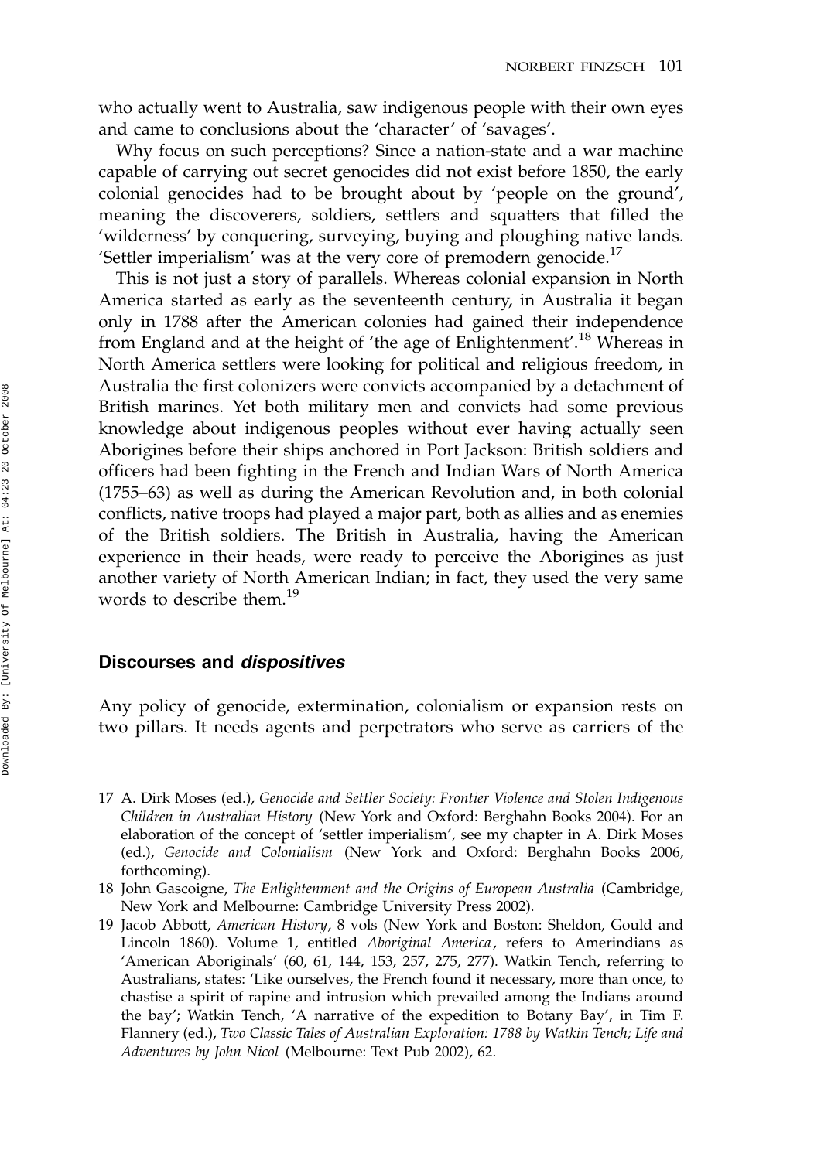who actually went to Australia, saw indigenous people with their own eyes and came to conclusions about the 'character' of 'savages'.

Why focus on such perceptions? Since a nation-state and a war machine capable of carrying out secret genocides did not exist before 1850, the early colonial genocides had to be brought about by 'people on the ground', meaning the discoverers, soldiers, settlers and squatters that filled the 'wilderness' by conquering, surveying, buying and ploughing native lands. 'Settler imperialism' was at the very core of premodern genocide. $^{17}$ 

This is not just a story of parallels. Whereas colonial expansion in North America started as early as the seventeenth century, in Australia it began only in 1788 after the American colonies had gained their independence from England and at the height of 'the age of Enlightenment'.<sup>18</sup> Whereas in North America settlers were looking for political and religious freedom, in Australia the first colonizers were convicts accompanied by a detachment of British marines. Yet both military men and convicts had some previous knowledge about indigenous peoples without ever having actually seen Aborigines before their ships anchored in Port Jackson: British soldiers and officers had been fighting in the French and Indian Wars of North America  $(1755-63)$  as well as during the American Revolution and, in both colonial conflicts, native troops had played a major part, both as allies and as enemies of the British soldiers. The British in Australia, having the American experience in their heads, were ready to perceive the Aborigines as just another variety of North American Indian; in fact, they used the very same words to describe them.<sup>19</sup>

#### Discourses and dispositives

Any policy of genocide, extermination, colonialism or expansion rests on two pillars. It needs agents and perpetrators who serve as carriers of the

<sup>17</sup> A. Dirk Moses (ed.), Genocide and Settler Society: Frontier Violence and Stolen Indigenous Children in Australian History (New York and Oxford: Berghahn Books 2004). For an elaboration of the concept of 'settler imperialism', see my chapter in A. Dirk Moses (ed.), Genocide and Colonialism (New York and Oxford: Berghahn Books 2006, forthcoming).

<sup>18</sup> John Gascoigne, The Enlightenment and the Origins of European Australia (Cambridge, New York and Melbourne: Cambridge University Press 2002).

<sup>19</sup> Jacob Abbott, American History, 8 vols (New York and Boston: Sheldon, Gould and Lincoln 1860). Volume 1, entitled Aboriginal America, refers to Amerindians as 'American Aboriginals' (60, 61, 144, 153, 257, 275, 277). Watkin Tench, referring to Australians, states: 'Like ourselves, the French found it necessary, more than once, to chastise a spirit of rapine and intrusion which prevailed among the Indians around the bay'; Watkin Tench, 'A narrative of the expedition to Botany Bay', in Tim F. Flannery (ed.), Two Classic Tales of Australian Exploration: 1788 by Watkin Tench; Life and Adventures by John Nicol (Melbourne: Text Pub 2002), 62.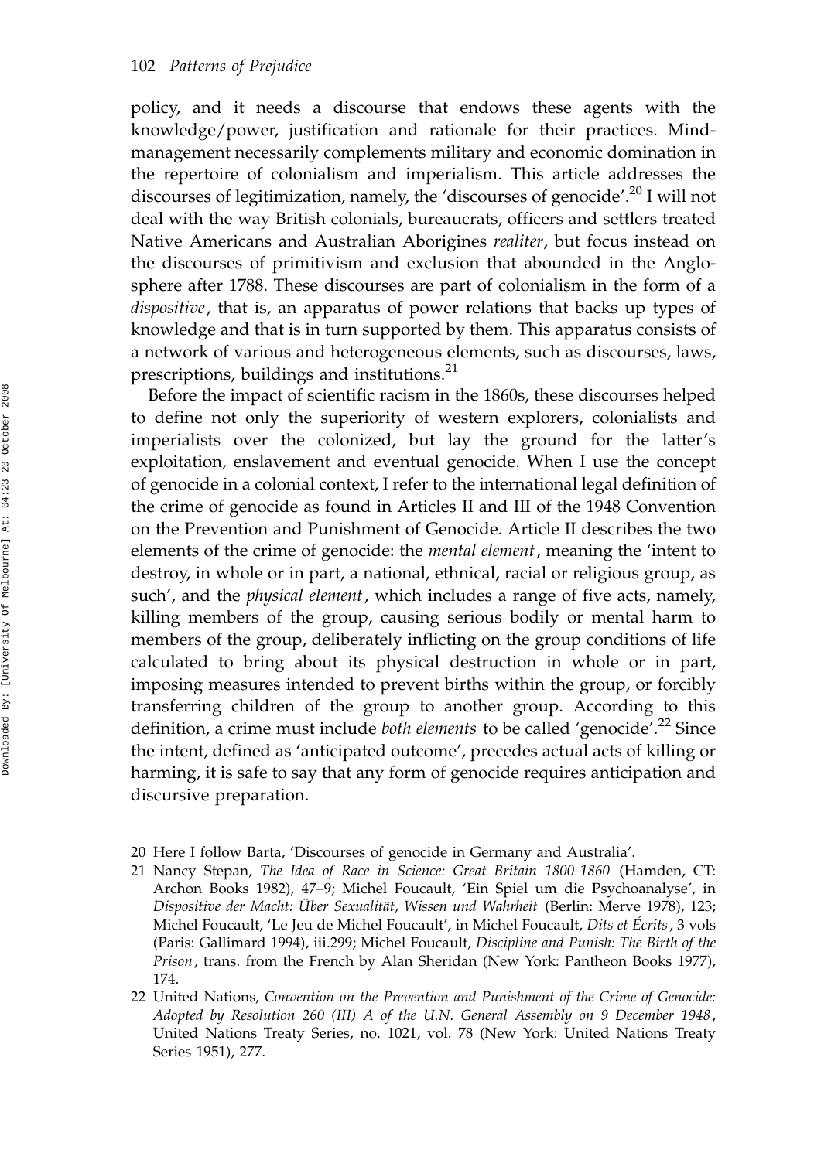policy, and it needs a discourse that endows these agents with the knowledge/power, justification and rationale for their practices. Mindmanagement necessarily complements military and economic domination in the repertoire of colonialism and imperialism. This article addresses the discourses of legitimization, namely, the 'discourses of genocide'.<sup>20</sup> I will not deal with the way British colonials, bureaucrats, officers and settlers treated Native Americans and Australian Aborigines realiter, but focus instead on the discourses of primitivism and exclusion that abounded in the Anglosphere after 1788. These discourses are part of colonialism in the form of a dispositive, that is, an apparatus of power relations that backs up types of knowledge and that is in turn supported by them. This apparatus consists of a network of various and heterogeneous elements, such as discourses, laws, prescriptions, buildings and institutions.<sup>21</sup>

Before the impact of scientific racism in the 1860s, these discourses helped to define not only the superiority of western explorers, colonialists and imperialists over the colonized, but lay the ground for the latter's exploitation, enslavement and eventual genocide. When I use the concept of genocide in a colonial context, I refer to the international legal definition of the crime of genocide as found in Articles II and III of the 1948 Convention on the Prevention and Punishment of Genocide. Article II describes the two elements of the crime of genocide: the *mental element*, meaning the 'intent to destroy, in whole or in part, a national, ethnical, racial or religious group, as such', and the *physical element*, which includes a range of five acts, namely, killing members of the group, causing serious bodily or mental harm to members of the group, deliberately inflicting on the group conditions of life calculated to bring about its physical destruction in whole or in part, imposing measures intended to prevent births within the group, or forcibly transferring children of the group to another group. According to this definition, a crime must include both elements to be called 'genocide'.<sup>22</sup> Since the intent, defined as 'anticipated outcome', precedes actual acts of killing or harming, it is safe to say that any form of genocide requires anticipation and discursive preparation.

- 20 Here I follow Barta, 'Discourses of genocide in Germany and Australia'.
- 21 Nancy Stepan, The Idea of Race in Science: Great Britain 1800-1860 (Hamden, CT: Archon Books 1982), 47-9; Michel Foucault, 'Ein Spiel um die Psychoanalyse', in Dispositive der Macht: Über Sexualität, Wissen und Wahrheit (Berlin: Merve 1978), 123; Michel Foucault, 'Le Jeu de Michel Foucault', in Michel Foucault, Dits et Écrits, 3 vols (Paris: Gallimard 1994), iii.299; Michel Foucault, Discipline and Punish: The Birth of the Prison, trans. from the French by Alan Sheridan (New York: Pantheon Books 1977), 174.
- 22 United Nations, Convention on the Prevention and Punishment of the Crime of Genocide: Adopted by Resolution 260 (III) A of the U.N. General Assembly on 9 December 1948, United Nations Treaty Series, no. 1021, vol. 78 (New York: United Nations Treaty Series 1951), 277.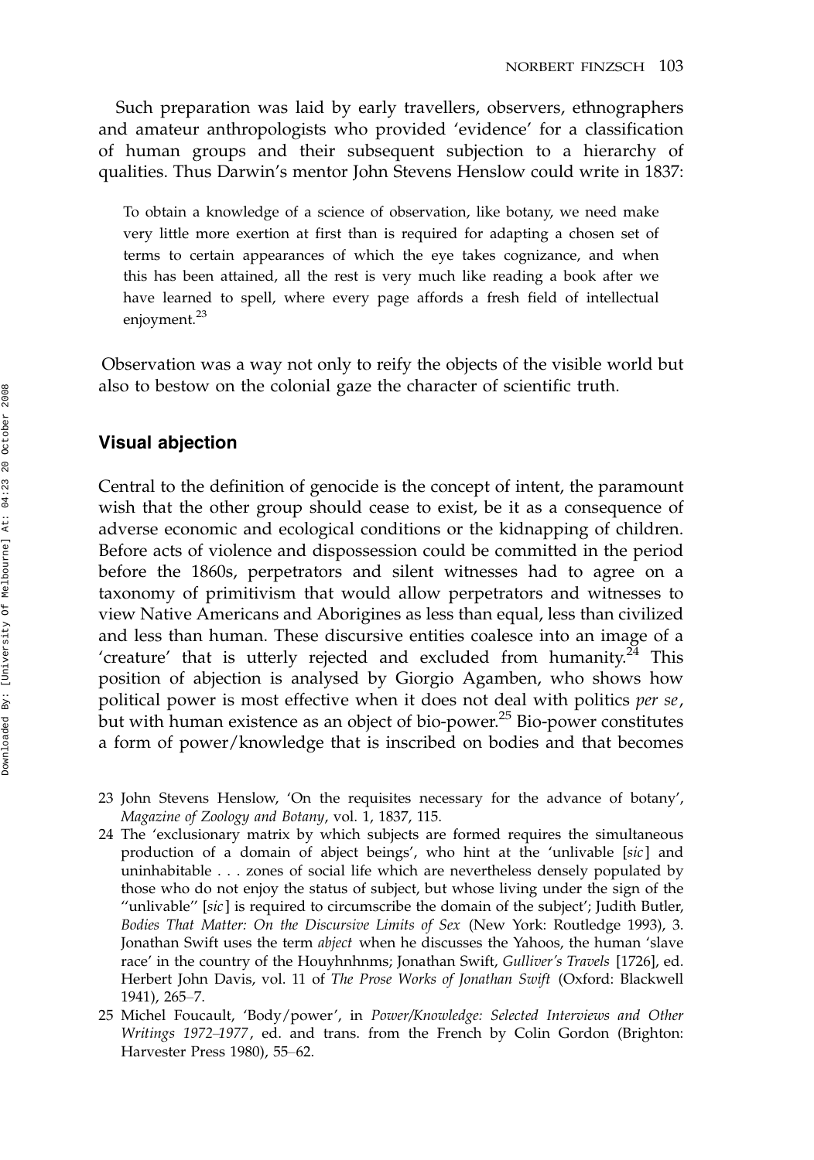Such preparation was laid by early travellers, observers, ethnographers and amateur anthropologists who provided 'evidence' for a classification of human groups and their subsequent subjection to a hierarchy of qualities. Thus Darwin's mentor John Stevens Henslow could write in 1837:

To obtain a knowledge of a science of observation, like botany, we need make very little more exertion at first than is required for adapting a chosen set of terms to certain appearances of which the eye takes cognizance, and when this has been attained, all the rest is very much like reading a book after we have learned to spell, where every page affords a fresh field of intellectual enjoyment.<sup>23</sup>

Observation was a way not only to reify the objects of the visible world but also to bestow on the colonial gaze the character of scientific truth.

#### Visual abjection

Central to the definition of genocide is the concept of intent, the paramount wish that the other group should cease to exist, be it as a consequence of adverse economic and ecological conditions or the kidnapping of children. Before acts of violence and dispossession could be committed in the period before the 1860s, perpetrators and silent witnesses had to agree on a taxonomy of primitivism that would allow perpetrators and witnesses to view Native Americans and Aborigines as less than equal, less than civilized and less than human. These discursive entities coalesce into an image of a 'creature' that is utterly rejected and excluded from humanity. $24$  This position of abjection is analysed by Giorgio Agamben, who shows how political power is most effective when it does not deal with politics per se, but with human existence as an object of bio-power.<sup>25</sup> Bio-power constitutes a form of power/knowledge that is inscribed on bodies and that becomes

- 23 John Stevens Henslow, 'On the requisites necessary for the advance of botany', Magazine of Zoology and Botany, vol. 1, 1837, 115.
- 24 The 'exclusionary matrix by which subjects are formed requires the simultaneous production of a domain of abject beings', who hint at the 'unlivable [sic] and uninhabitable . . . zones of social life which are nevertheless densely populated by those who do not enjoy the status of subject, but whose living under the sign of the ''unlivable'' [sic ] is required to circumscribe the domain of the subject'; Judith Butler, Bodies That Matter: On the Discursive Limits of Sex (New York: Routledge 1993), 3. Jonathan Swift uses the term abject when he discusses the Yahoos, the human 'slave race' in the country of the Houyhnhnms; Jonathan Swift, Gulliver's Travels [1726], ed. Herbert John Davis, vol. 11 of The Prose Works of Jonathan Swift (Oxford: Blackwell 1941), 265-7.
- 25 Michel Foucault, 'Body/power', in Power/Knowledge: Selected Interviews and Other Writings 1972-1977, ed. and trans. from the French by Colin Gordon (Brighton: Harvester Press 1980), 55-62.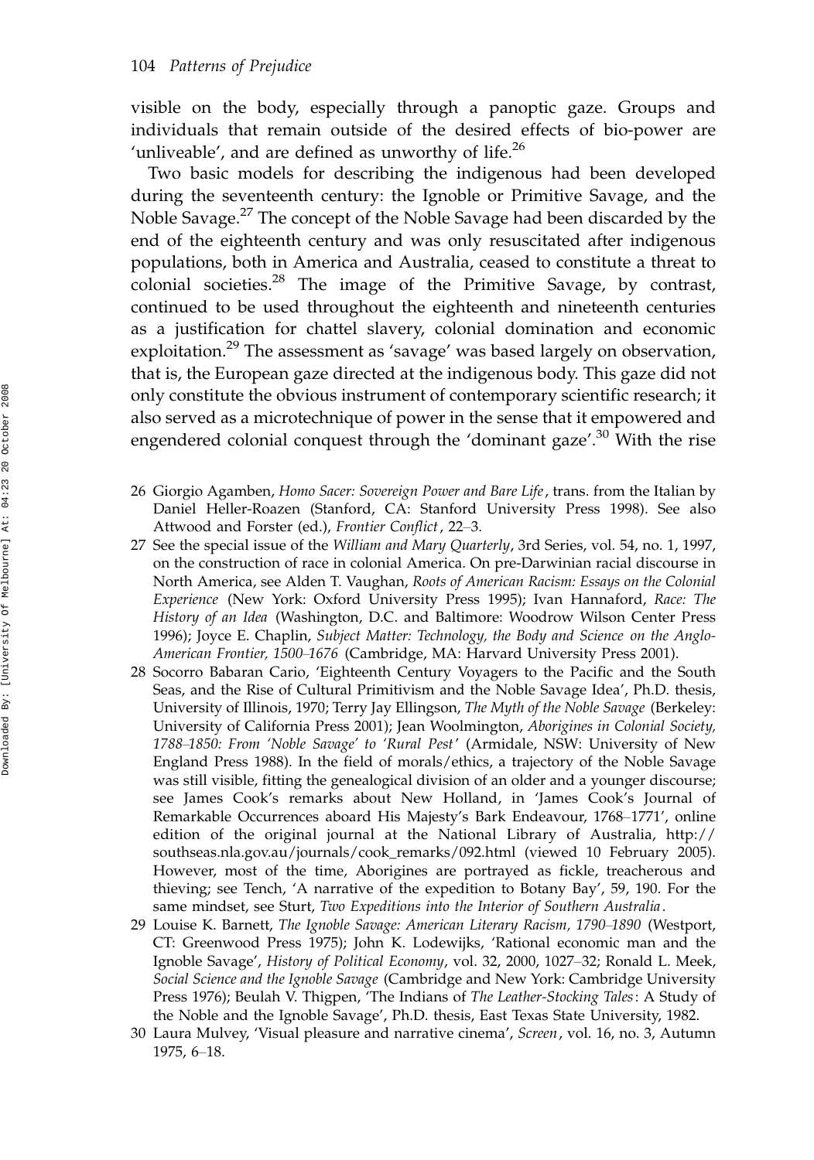visible on the body, especially through a panoptic gaze. Groups and individuals that remain outside of the desired effects of bio-power are 'unliveable', and are defined as unworthy of life. $^{26}$ 

Two basic models for describing the indigenous had been developed during the seventeenth century: the Ignoble or Primitive Savage, and the Noble Savage.27 The concept of the Noble Savage had been discarded by the end of the eighteenth century and was only resuscitated after indigenous populations, both in America and Australia, ceased to constitute a threat to colonial societies.28 The image of the Primitive Savage, by contrast, continued to be used throughout the eighteenth and nineteenth centuries as a justification for chattel slavery, colonial domination and economic exploitation.<sup>29</sup> The assessment as 'savage' was based largely on observation, that is, the European gaze directed at the indigenous body. This gaze did not only constitute the obvious instrument of contemporary scientific research; it also served as a microtechnique of power in the sense that it empowered and engendered colonial conquest through the 'dominant gaze'.<sup>30</sup> With the rise

- 26 Giorgio Agamben, Homo Sacer: Sovereign Power and Bare Life, trans. from the Italian by Daniel Heller-Roazen (Stanford, CA: Stanford University Press 1998). See also Attwood and Forster (ed.), Frontier Conflict, 22-3.
- 27 See the special issue of the William and Mary Quarterly, 3rd Series, vol. 54, no. 1, 1997, on the construction of race in colonial America. On pre-Darwinian racial discourse in North America, see Alden T. Vaughan, Roots of American Racism: Essays on the Colonial Experience (New York: Oxford University Press 1995); Ivan Hannaford, Race: The History of an Idea (Washington, D.C. and Baltimore: Woodrow Wilson Center Press 1996); Joyce E. Chaplin, Subject Matter: Technology, the Body and Science on the Anglo-American Frontier, 1500-1676 (Cambridge, MA: Harvard University Press 2001).
- 28 Socorro Babaran Cario, 'Eighteenth Century Voyagers to the Pacific and the South Seas, and the Rise of Cultural Primitivism and the Noble Savage Idea', Ph.D. thesis, University of Illinois, 1970; Terry Jay Ellingson, The Myth of the Noble Savage (Berkeley: University of California Press 2001); Jean Woolmington, Aborigines in Colonial Society, 1788-1850: From 'Noble Savage' to 'Rural Pest' (Armidale, NSW: University of New England Press 1988). In the field of morals/ethics, a trajectory of the Noble Savage was still visible, fitting the genealogical division of an older and a younger discourse; see James Cook's remarks about New Holland, in 'James Cook's Journal of Remarkable Occurrences aboard His Majesty's Bark Endeavour, 1768-1771', online edition of the original journal at the National Library of Australia, http:// southseas.nla.gov.au/journals/cook\_remarks/092.html (viewed 10 February 2005). However, most of the time, Aborigines are portrayed as fickle, treacherous and thieving; see Tench, 'A narrative of the expedition to Botany Bay', 59, 190. For the same mindset, see Sturt, Two Expeditions into the Interior of Southern Australia .
- 29 Louise K. Barnett, The Ignoble Savage: American Literary Racism, 1790-1890 (Westport, CT: Greenwood Press 1975); John K. Lodewijks, 'Rational economic man and the Ignoble Savage', History of Political Economy, vol. 32, 2000, 1027–32; Ronald L. Meek, Social Science and the Ignoble Savage (Cambridge and New York: Cambridge University Press 1976); Beulah V. Thigpen, 'The Indians of The Leather-Stocking Tales: A Study of the Noble and the Ignoble Savage', Ph.D. thesis, East Texas State University, 1982.
- 30 Laura Mulvey, 'Visual pleasure and narrative cinema', Screen, vol. 16, no. 3, Autumn 1975, 6-18.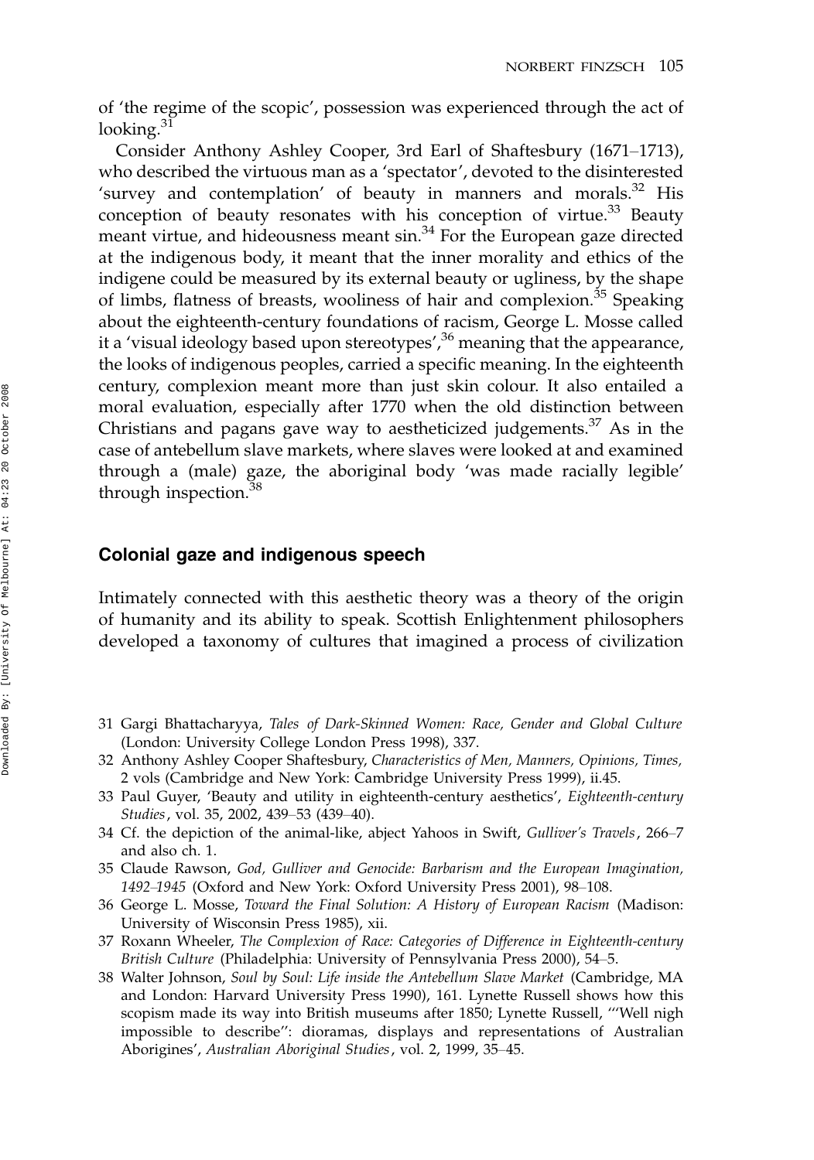of 'the regime of the scopic', possession was experienced through the act of looking. $31$ 

Consider Anthony Ashley Cooper, 3rd Earl of Shaftesbury (1671–1713), who described the virtuous man as a 'spectator', devoted to the disinterested 'survey and contemplation' of beauty in manners and morals. $32$  His conception of beauty resonates with his conception of virtue.<sup>33</sup> Beauty meant virtue, and hideousness meant sin.<sup>34</sup> For the European gaze directed at the indigenous body, it meant that the inner morality and ethics of the indigene could be measured by its external beauty or ugliness, by the shape of limbs, flatness of breasts, wooliness of hair and complexion.<sup>35</sup> Speaking about the eighteenth-century foundations of racism, George L. Mosse called it a 'visual ideology based upon stereotypes', $36$  meaning that the appearance, the looks of indigenous peoples, carried a specific meaning. In the eighteenth century, complexion meant more than just skin colour. It also entailed a moral evaluation, especially after 1770 when the old distinction between Christians and pagans gave way to aestheticized judgements. $37$  As in the case of antebellum slave markets, where slaves were looked at and examined through a (male) gaze, the aboriginal body 'was made racially legible' through inspection.<sup>38</sup>

#### Colonial gaze and indigenous speech

Intimately connected with this aesthetic theory was a theory of the origin of humanity and its ability to speak. Scottish Enlightenment philosophers developed a taxonomy of cultures that imagined a process of civilization

- 31 Gargi Bhattacharyya, Tales of Dark-Skinned Women: Race, Gender and Global Culture (London: University College London Press 1998), 337.
- 32 Anthony Ashley Cooper Shaftesbury, Characteristics of Men, Manners, Opinions, Times, 2 vols (Cambridge and New York: Cambridge University Press 1999), ii.45.
- 33 Paul Guyer, 'Beauty and utility in eighteenth-century aesthetics', Eighteenth-century Studies, vol. 35, 2002, 439–53 (439–40).
- 34 Cf. the depiction of the animal-like, abject Yahoos in Swift, Gulliver's Travels, 266-7 and also ch. 1.
- 35 Claude Rawson, God, Gulliver and Genocide: Barbarism and the European Imagination, 1492-1945 (Oxford and New York: Oxford University Press 2001), 98-108.
- 36 George L. Mosse, Toward the Final Solution: A History of European Racism (Madison: University of Wisconsin Press 1985), xii.
- 37 Roxann Wheeler, The Complexion of Race: Categories of Difference in Eighteenth-century British Culture (Philadelphia: University of Pennsylvania Press 2000), 54-5.
- 38 Walter Johnson, Soul by Soul: Life inside the Antebellum Slave Market (Cambridge, MA and London: Harvard University Press 1990), 161. Lynette Russell shows how this scopism made its way into British museums after 1850; Lynette Russell, '''Well nigh impossible to describe'': dioramas, displays and representations of Australian Aborigines', Australian Aboriginal Studies, vol. 2, 1999, 35-45.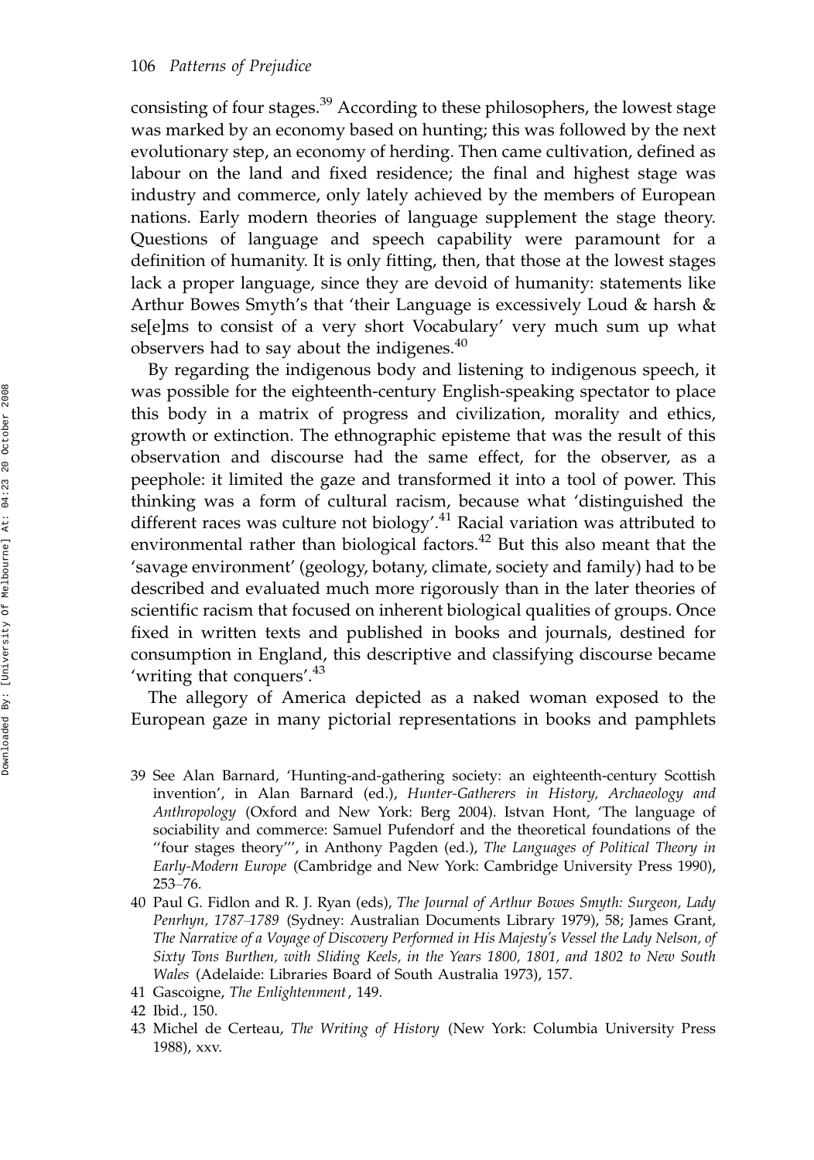consisting of four stages.<sup>39</sup> According to these philosophers, the lowest stage was marked by an economy based on hunting; this was followed by the next evolutionary step, an economy of herding. Then came cultivation, defined as labour on the land and fixed residence; the final and highest stage was industry and commerce, only lately achieved by the members of European nations. Early modern theories of language supplement the stage theory. Questions of language and speech capability were paramount for a definition of humanity. It is only fitting, then, that those at the lowest stages lack a proper language, since they are devoid of humanity: statements like Arthur Bowes Smyth's that 'their Language is excessively Loud & harsh & se[e]ms to consist of a very short Vocabulary' very much sum up what observers had to say about the indigenes.<sup>40</sup>

By regarding the indigenous body and listening to indigenous speech, it was possible for the eighteenth-century English-speaking spectator to place this body in a matrix of progress and civilization, morality and ethics, growth or extinction. The ethnographic episteme that was the result of this observation and discourse had the same effect, for the observer, as a peephole: it limited the gaze and transformed it into a tool of power. This thinking was a form of cultural racism, because what 'distinguished the different races was culture not biology'.<sup>41</sup> Racial variation was attributed to environmental rather than biological factors.<sup>42</sup> But this also meant that the 'savage environment' (geology, botany, climate, society and family) had to be described and evaluated much more rigorously than in the later theories of scientific racism that focused on inherent biological qualities of groups. Once fixed in written texts and published in books and journals, destined for consumption in England, this descriptive and classifying discourse became 'writing that conquers'.<sup>43</sup>

The allegory of America depicted as a naked woman exposed to the European gaze in many pictorial representations in books and pamphlets

- 39 See Alan Barnard, 'Hunting-and-gathering society: an eighteenth-century Scottish invention', in Alan Barnard (ed.), Hunter-Gatherers in History, Archaeology and Anthropology (Oxford and New York: Berg 2004). Istvan Hont, 'The language of sociability and commerce: Samuel Pufendorf and the theoretical foundations of the ''four stages theory''', in Anthony Pagden (ed.), The Languages of Political Theory in Early-Modern Europe (Cambridge and New York: Cambridge University Press 1990),  $253 - 76.$
- 40 Paul G. Fidlon and R. J. Ryan (eds), The Journal of Arthur Bowes Smyth: Surgeon, Lady Penrhyn, 1787-1789 (Sydney: Australian Documents Library 1979), 58; James Grant, The Narrative of a Voyage of Discovery Performed in His Majesty's Vessel the Lady Nelson, of Sixty Tons Burthen, with Sliding Keels, in the Years 1800, 1801, and 1802 to New South Wales (Adelaide: Libraries Board of South Australia 1973), 157.
- 41 Gascoigne, The Enlightenment, 149.

43 Michel de Certeau, The Writing of History (New York: Columbia University Press 1988), xxv.

<sup>42</sup> Ibid., 150.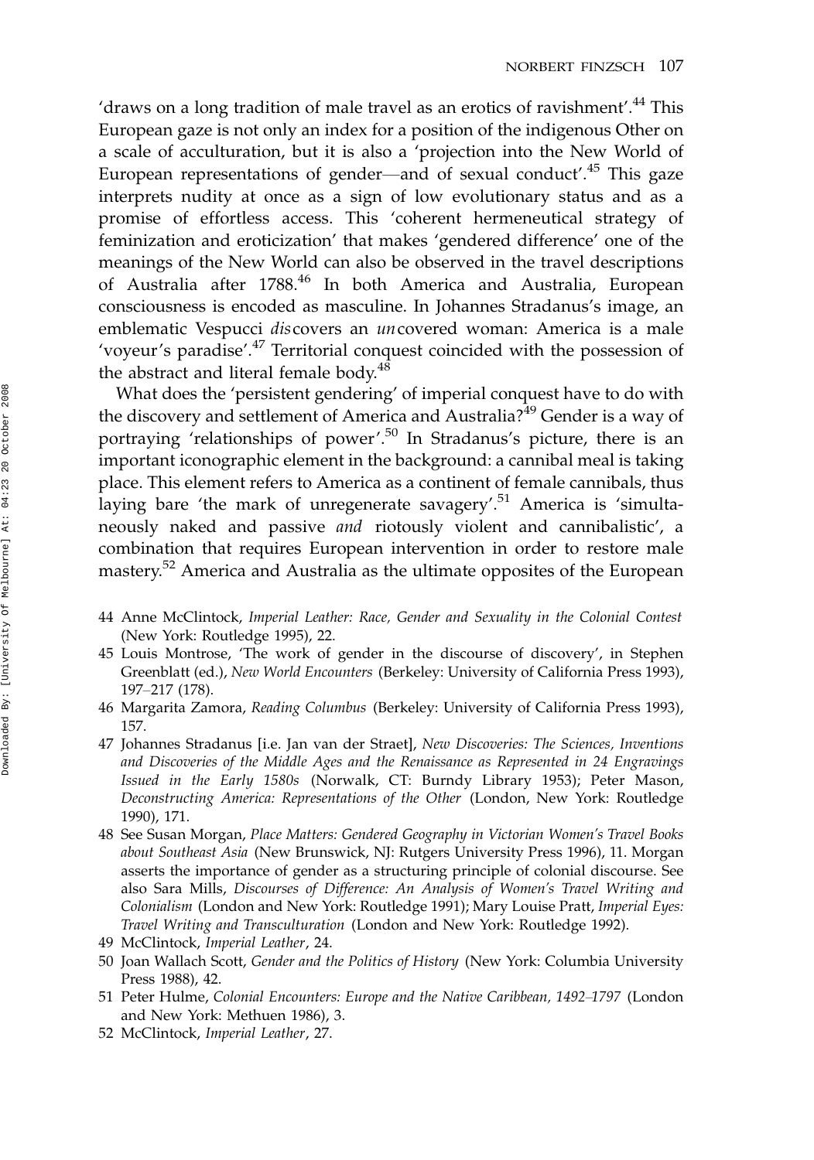'draws on a long tradition of male travel as an erotics of ravishment'.<sup>44</sup> This European gaze is not only an index for a position of the indigenous Other on a scale of acculturation, but it is also a 'projection into the New World of European representations of gender—and of sexual conduct'.<sup>45</sup> This gaze interprets nudity at once as a sign of low evolutionary status and as a promise of effortless access. This 'coherent hermeneutical strategy of feminization and eroticization' that makes 'gendered difference' one of the meanings of the New World can also be observed in the travel descriptions of Australia after 1788.<sup>46</sup> In both America and Australia, European consciousness is encoded as masculine. In Johannes Stradanus's image, an emblematic Vespucci discovers an uncovered woman: America is a male 'voyeur's paradise'.<sup>47</sup> Territorial conquest coincided with the possession of the abstract and literal female body. $48$ 

What does the 'persistent gendering' of imperial conquest have to do with the discovery and settlement of America and Australia?<sup>49</sup> Gender is a way of portraying 'relationships of power'.<sup>50</sup> In Stradanus's picture, there is an important iconographic element in the background: a cannibal meal is taking place. This element refers to America as a continent of female cannibals, thus laying bare 'the mark of unregenerate savagery'.<sup>51</sup> America is 'simultaneously naked and passive and riotously violent and cannibalistic', a combination that requires European intervention in order to restore male mastery.52 America and Australia as the ultimate opposites of the European

- 44 Anne McClintock, Imperial Leather: Race, Gender and Sexuality in the Colonial Contest (New York: Routledge 1995), 22.
- 45 Louis Montrose, 'The work of gender in the discourse of discovery', in Stephen Greenblatt (ed.), New World Encounters (Berkeley: University of California Press 1993), 197-217 (178).
- 46 Margarita Zamora, Reading Columbus (Berkeley: University of California Press 1993), 157.
- 47 Johannes Stradanus [i.e. Jan van der Straet], New Discoveries: The Sciences, Inventions and Discoveries of the Middle Ages and the Renaissance as Represented in 24 Engravings Issued in the Early 1580s (Norwalk, CT: Burndy Library 1953); Peter Mason, Deconstructing America: Representations of the Other (London, New York: Routledge 1990), 171.
- 48 See Susan Morgan, Place Matters: Gendered Geography in Victorian Women's Travel Books about Southeast Asia (New Brunswick, NJ: Rutgers University Press 1996), 11. Morgan asserts the importance of gender as a structuring principle of colonial discourse. See also Sara Mills, Discourses of Difference: An Analysis of Women's Travel Writing and Colonialism (London and New York: Routledge 1991); Mary Louise Pratt, Imperial Eyes: Travel Writing and Transculturation (London and New York: Routledge 1992).
- 49 McClintock, Imperial Leather, 24.
- 50 Joan Wallach Scott, Gender and the Politics of History (New York: Columbia University Press 1988), 42.
- 51 Peter Hulme, Colonial Encounters: Europe and the Native Caribbean, 1492-1797 (London and New York: Methuen 1986), 3.
- 52 McClintock, Imperial Leather, 27.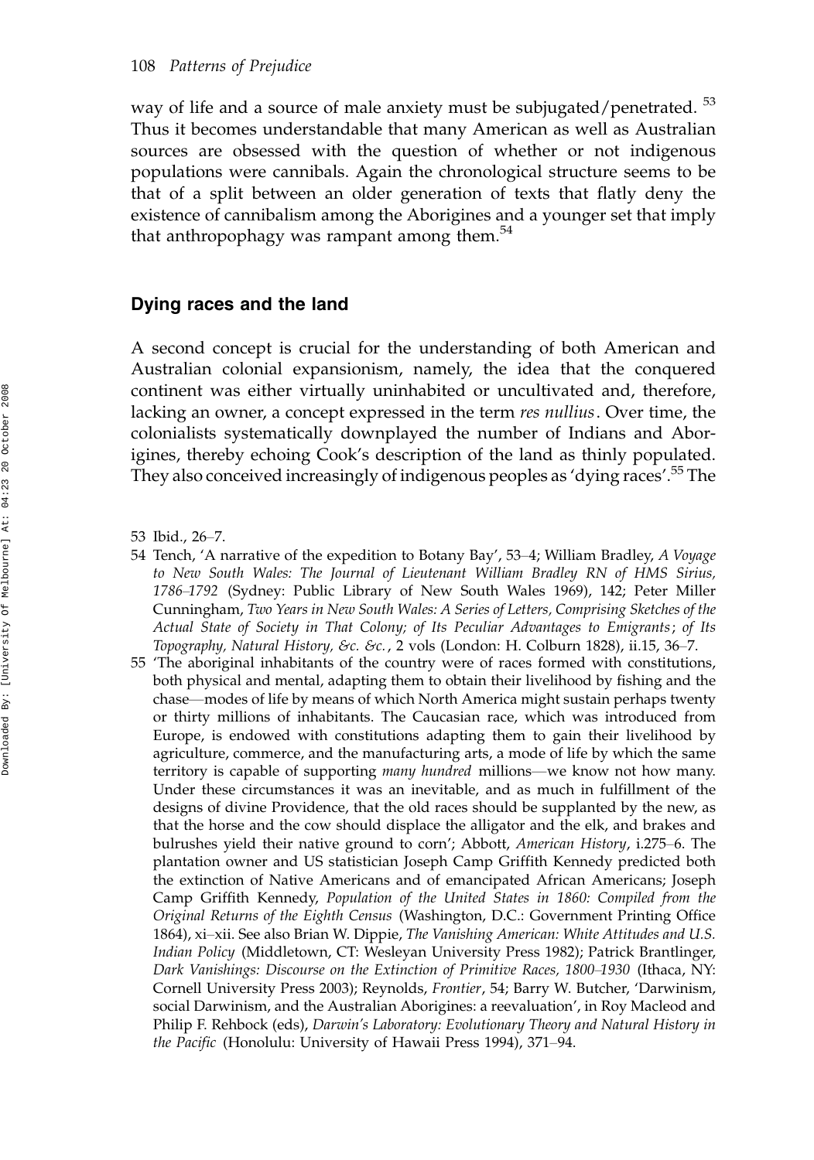way of life and a source of male anxiety must be subjugated/penetrated.<sup>53</sup> Thus it becomes understandable that many American as well as Australian sources are obsessed with the question of whether or not indigenous populations were cannibals. Again the chronological structure seems to be that of a split between an older generation of texts that flatly deny the existence of cannibalism among the Aborigines and a younger set that imply that anthropophagy was rampant among them.<sup>54</sup>

#### Dying races and the land

A second concept is crucial for the understanding of both American and Australian colonial expansionism, namely, the idea that the conquered continent was either virtually uninhabited or uncultivated and, therefore, lacking an owner, a concept expressed in the term res nullius. Over time, the colonialists systematically downplayed the number of Indians and Aborigines, thereby echoing Cook's description of the land as thinly populated. They also conceived increasingly of indigenous peoples as 'dying races'.55 The

- 53 Ibid., 26-7.
- 54 Tench, 'A narrative of the expedition to Botany Bay', 53–4; William Bradley, A Voyage to New South Wales: The Journal of Lieutenant William Bradley RN of HMS Sirius, 1786-1792 (Sydney: Public Library of New South Wales 1969), 142; Peter Miller Cunningham, Two Years in New South Wales: A Series of Letters, Comprising Sketches of the Actual State of Society in That Colony; of Its Peculiar Advantages to Emigrants; of Its Topography, Natural History, &c. &c., 2 vols (London: H. Colburn 1828), ii.15, 36-7.
- 55 'The aboriginal inhabitants of the country were of races formed with constitutions, both physical and mental, adapting them to obtain their livelihood by fishing and the chase—modes of life by means of which North America might sustain perhaps twenty or thirty millions of inhabitants. The Caucasian race, which was introduced from Europe, is endowed with constitutions adapting them to gain their livelihood by agriculture, commerce, and the manufacturing arts, a mode of life by which the same territory is capable of supporting *many hundred* millions—we know not how many. Under these circumstances it was an inevitable, and as much in fulfillment of the designs of divine Providence, that the old races should be supplanted by the new, as that the horse and the cow should displace the alligator and the elk, and brakes and bulrushes yield their native ground to corn'; Abbott, American History, i.275–6. The plantation owner and US statistician Joseph Camp Griffith Kennedy predicted both the extinction of Native Americans and of emancipated African Americans; Joseph Camp Griffith Kennedy, Population of the United States in 1860: Compiled from the Original Returns of the Eighth Census (Washington, D.C.: Government Printing Office 1864), xi-xii. See also Brian W. Dippie, The Vanishing American: White Attitudes and U.S. Indian Policy (Middletown, CT: Wesleyan University Press 1982); Patrick Brantlinger, Dark Vanishings: Discourse on the Extinction of Primitive Races, 1800–1930 (Ithaca, NY: Cornell University Press 2003); Reynolds, Frontier, 54; Barry W. Butcher, 'Darwinism, social Darwinism, and the Australian Aborigines: a reevaluation', in Roy Macleod and Philip F. Rehbock (eds), Darwin's Laboratory: Evolutionary Theory and Natural History in the Pacific (Honolulu: University of Hawaii Press 1994), 371–94.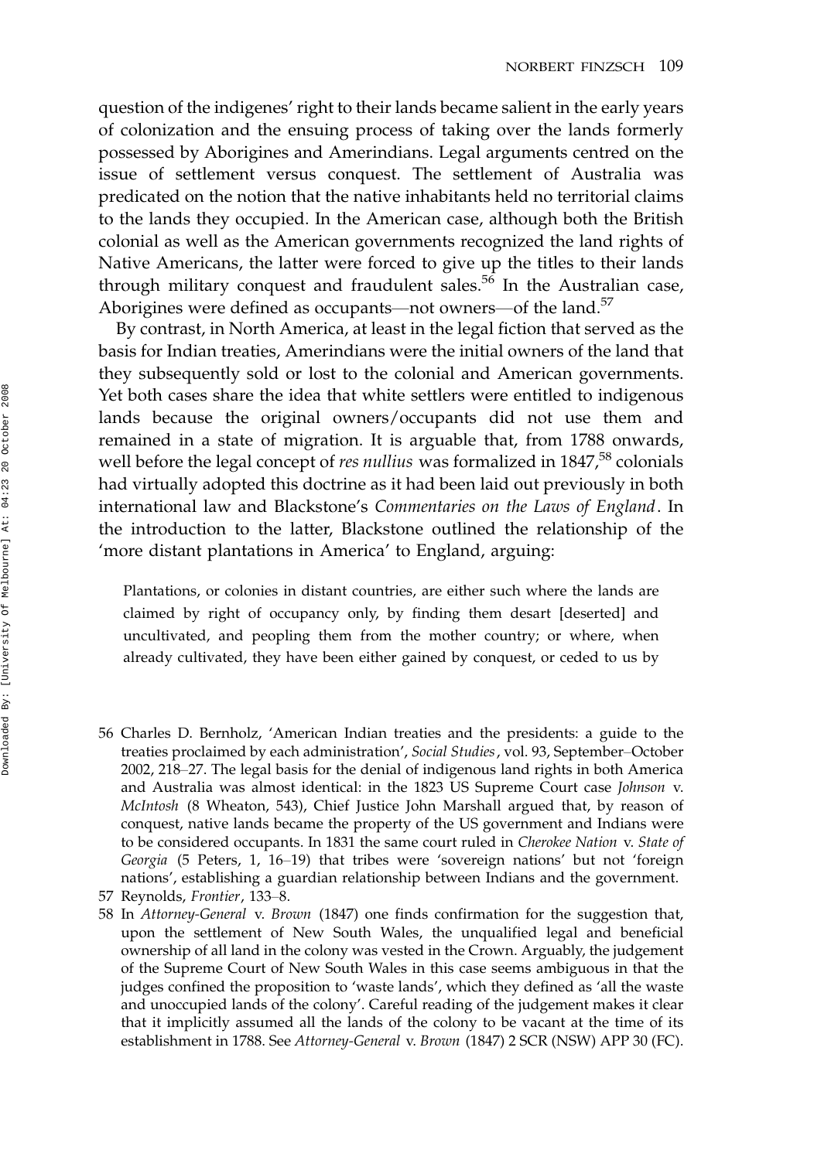question of the indigenes' right to their lands became salient in the early years of colonization and the ensuing process of taking over the lands formerly possessed by Aborigines and Amerindians. Legal arguments centred on the issue of settlement versus conquest. The settlement of Australia was predicated on the notion that the native inhabitants held no territorial claims to the lands they occupied. In the American case, although both the British colonial as well as the American governments recognized the land rights of Native Americans, the latter were forced to give up the titles to their lands through military conquest and fraudulent sales.<sup>56</sup> In the Australian case, Aborigines were defined as occupants--not owners--of the land.<sup>57</sup>

By contrast, in North America, at least in the legal fiction that served as the basis for Indian treaties, Amerindians were the initial owners of the land that they subsequently sold or lost to the colonial and American governments. Yet both cases share the idea that white settlers were entitled to indigenous lands because the original owners/occupants did not use them and remained in a state of migration. It is arguable that, from 1788 onwards, well before the legal concept of res nullius was formalized in 1847,<sup>58</sup> colonials had virtually adopted this doctrine as it had been laid out previously in both international law and Blackstone's Commentaries on the Laws of England. In the introduction to the latter, Blackstone outlined the relationship of the 'more distant plantations in America' to England, arguing:

Plantations, or colonies in distant countries, are either such where the lands are claimed by right of occupancy only, by finding them desart [deserted] and uncultivated, and peopling them from the mother country; or where, when already cultivated, they have been either gained by conquest, or ceded to us by

56 Charles D. Bernholz, 'American Indian treaties and the presidents: a guide to the treaties proclaimed by each administration', Social Studies, vol. 93, September-October 2002, 218-27. The legal basis for the denial of indigenous land rights in both America and Australia was almost identical: in the 1823 US Supreme Court case Johnson v. McIntosh (8 Wheaton, 543), Chief Justice John Marshall argued that, by reason of conquest, native lands became the property of the US government and Indians were to be considered occupants. In 1831 the same court ruled in Cherokee Nation v. State of Georgia (5 Peters, 1, 16–19) that tribes were 'sovereign nations' but not 'foreign nations', establishing a guardian relationship between Indians and the government.

<sup>57</sup> Reynolds, Frontier, 133-8.

<sup>58</sup> In Attorney-General v. Brown (1847) one finds confirmation for the suggestion that, upon the settlement of New South Wales, the unqualified legal and beneficial ownership of all land in the colony was vested in the Crown. Arguably, the judgement of the Supreme Court of New South Wales in this case seems ambiguous in that the judges confined the proposition to 'waste lands', which they defined as 'all the waste and unoccupied lands of the colony'. Careful reading of the judgement makes it clear that it implicitly assumed all the lands of the colony to be vacant at the time of its establishment in 1788. See Attorney-General v. Brown (1847) 2 SCR (NSW) APP 30 (FC).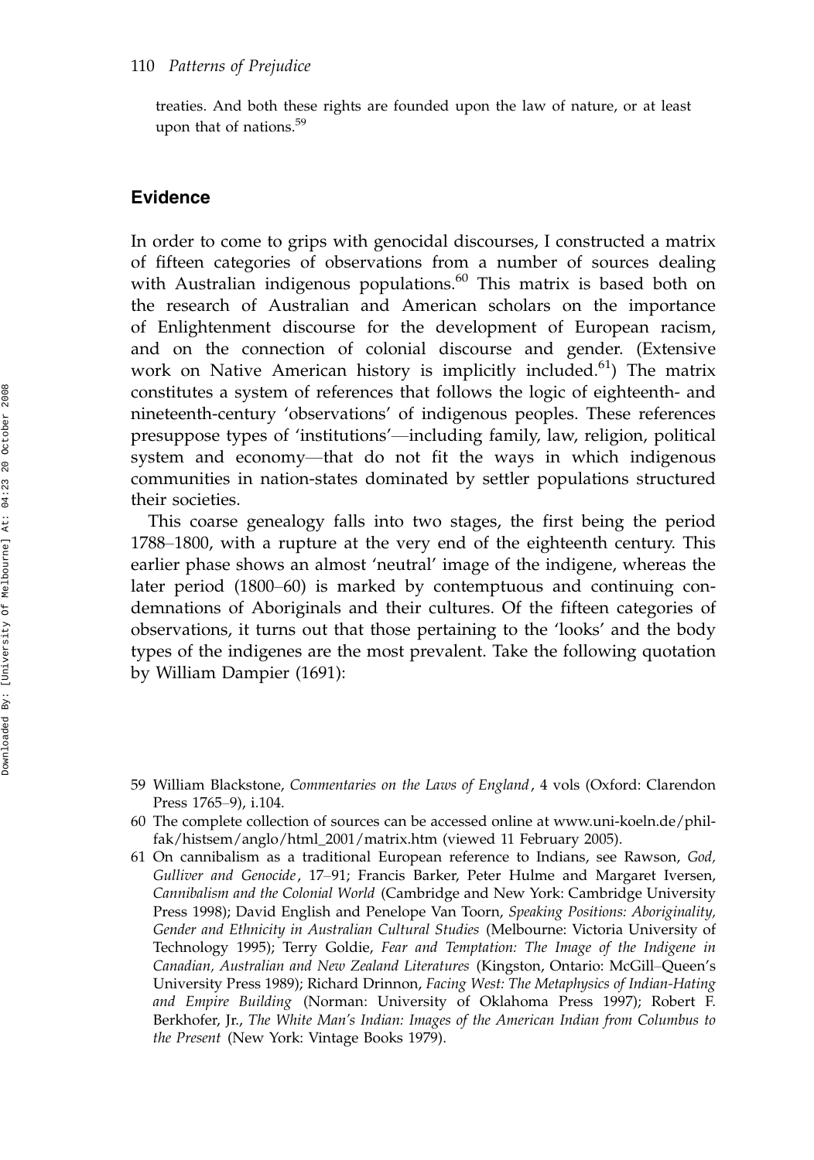treaties. And both these rights are founded upon the law of nature, or at least upon that of nations.<sup>59</sup>

#### Evidence

In order to come to grips with genocidal discourses, I constructed a matrix of fifteen categories of observations from a number of sources dealing with Australian indigenous populations.<sup>60</sup> This matrix is based both on the research of Australian and American scholars on the importance of Enlightenment discourse for the development of European racism, and on the connection of colonial discourse and gender. (Extensive work on Native American history is implicitly included.<sup>61</sup>) The matrix constitutes a system of references that follows the logic of eighteenth- and nineteenth-century 'observations' of indigenous peoples. These references presuppose types of 'institutions'—including family, law, religion, political system and economy-that do not fit the ways in which indigenous communities in nation-states dominated by settler populations structured their societies.

This coarse genealogy falls into two stages, the first being the period 1788–1800, with a rupture at the very end of the eighteenth century. This earlier phase shows an almost 'neutral' image of the indigene, whereas the later period (1800–60) is marked by contemptuous and continuing condemnations of Aboriginals and their cultures. Of the fifteen categories of observations, it turns out that those pertaining to the 'looks' and the body types of the indigenes are the most prevalent. Take the following quotation by William Dampier (1691):

<sup>59</sup> William Blackstone, Commentaries on the Laws of England, 4 vols (Oxford: Clarendon Press 1765-9), i.104.

<sup>60</sup> The complete collection of sources can be accessed online at www.uni-koeln.de/philfak/histsem/anglo/html\_2001/matrix.htm (viewed 11 February 2005).

<sup>61</sup> On cannibalism as a traditional European reference to Indians, see Rawson, God, Gulliver and Genocide, 17–91; Francis Barker, Peter Hulme and Margaret Iversen, Cannibalism and the Colonial World (Cambridge and New York: Cambridge University Press 1998); David English and Penelope Van Toorn, Speaking Positions: Aboriginality, Gender and Ethnicity in Australian Cultural Studies (Melbourne: Victoria University of Technology 1995); Terry Goldie, Fear and Temptation: The Image of the Indigene in Canadian, Australian and New Zealand Literatures (Kingston, Ontario: McGill-Queen's University Press 1989); Richard Drinnon, Facing West: The Metaphysics of Indian-Hating and Empire Building (Norman: University of Oklahoma Press 1997); Robert F. Berkhofer, Jr., The White Man's Indian: Images of the American Indian from Columbus to the Present (New York: Vintage Books 1979).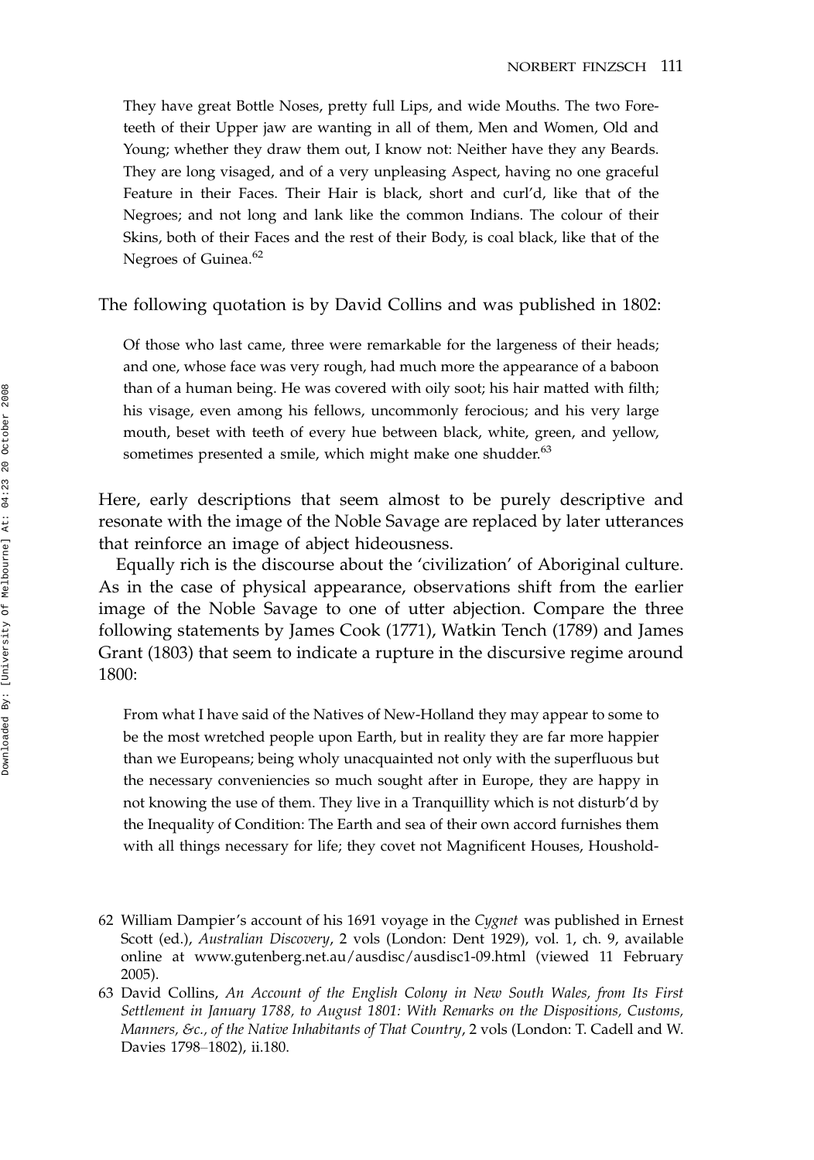They have great Bottle Noses, pretty full Lips, and wide Mouths. The two Foreteeth of their Upper jaw are wanting in all of them, Men and Women, Old and Young; whether they draw them out, I know not: Neither have they any Beards. They are long visaged, and of a very unpleasing Aspect, having no one graceful Feature in their Faces. Their Hair is black, short and curl'd, like that of the Negroes; and not long and lank like the common Indians. The colour of their Skins, both of their Faces and the rest of their Body, is coal black, like that of the Negroes of Guinea.<sup>62</sup>

#### The following quotation is by David Collins and was published in 1802:

Of those who last came, three were remarkable for the largeness of their heads; and one, whose face was very rough, had much more the appearance of a baboon than of a human being. He was covered with oily soot; his hair matted with filth; his visage, even among his fellows, uncommonly ferocious; and his very large mouth, beset with teeth of every hue between black, white, green, and yellow, sometimes presented a smile, which might make one shudder.<sup>63</sup>

Here, early descriptions that seem almost to be purely descriptive and resonate with the image of the Noble Savage are replaced by later utterances that reinforce an image of abject hideousness.

Equally rich is the discourse about the 'civilization' of Aboriginal culture. As in the case of physical appearance, observations shift from the earlier image of the Noble Savage to one of utter abjection. Compare the three following statements by James Cook (1771), Watkin Tench (1789) and James Grant (1803) that seem to indicate a rupture in the discursive regime around 1800:

From what I have said of the Natives of New-Holland they may appear to some to be the most wretched people upon Earth, but in reality they are far more happier than we Europeans; being wholy unacquainted not only with the superfluous but the necessary conveniencies so much sought after in Europe, they are happy in not knowing the use of them. They live in a Tranquillity which is not disturb'd by the Inequality of Condition: The Earth and sea of their own accord furnishes them with all things necessary for life; they covet not Magnificent Houses, Houshold-

- 62 William Dampier's account of his 1691 voyage in the Cygnet was published in Ernest Scott (ed.), Australian Discovery, 2 vols (London: Dent 1929), vol. 1, ch. 9, available online at www.gutenberg.net.au/ausdisc/ausdisc1-09.html (viewed 11 February 2005).
- 63 David Collins, An Account of the English Colony in New South Wales, from Its First Settlement in January 1788, to August 1801: With Remarks on the Dispositions, Customs, Manners, &c., of the Native Inhabitants of That Country, 2 vols (London: T. Cadell and W. Davies 1798-1802), ii.180.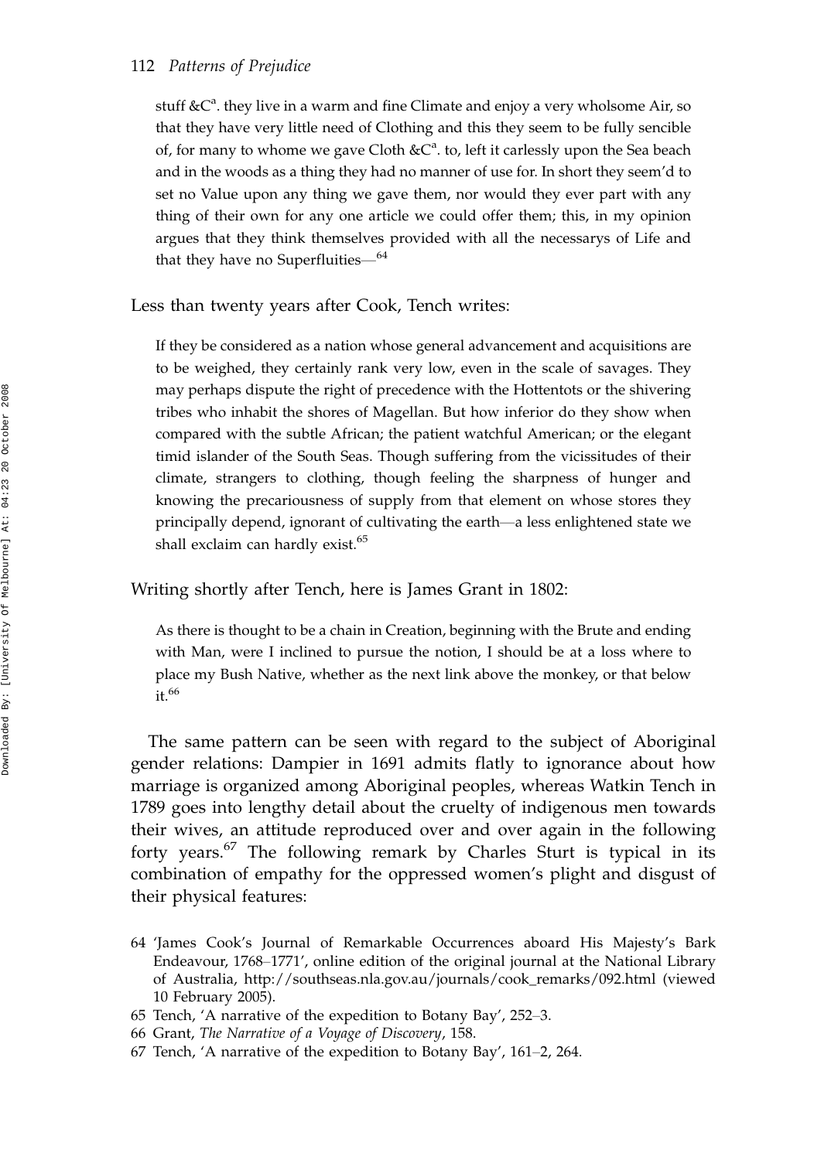### 112 Patterns of Prejudice

stuff  $&C^a$ . they live in a warm and fine Climate and enjoy a very wholsome Air, so that they have very little need of Clothing and this they seem to be fully sencible of, for many to whome we gave Cloth  $\&C^a$ . to, left it carlessly upon the Sea beach and in the woods as a thing they had no manner of use for. In short they seem'd to set no Value upon any thing we gave them, nor would they ever part with any thing of their own for any one article we could offer them; this, in my opinion argues that they think themselves provided with all the necessarys of Life and that they have no Superfluities— $^{64}$ 

Less than twenty years after Cook, Tench writes:

If they be considered as a nation whose general advancement and acquisitions are to be weighed, they certainly rank very low, even in the scale of savages. They may perhaps dispute the right of precedence with the Hottentots or the shivering tribes who inhabit the shores of Magellan. But how inferior do they show when compared with the subtle African; the patient watchful American; or the elegant timid islander of the South Seas. Though suffering from the vicissitudes of their climate, strangers to clothing, though feeling the sharpness of hunger and knowing the precariousness of supply from that element on whose stores they principally depend, ignorant of cultivating the earth-a less enlightened state we shall exclaim can hardly exist.<sup>65</sup>

Writing shortly after Tench, here is James Grant in 1802:

As there is thought to be a chain in Creation, beginning with the Brute and ending with Man, were I inclined to pursue the notion, I should be at a loss where to place my Bush Native, whether as the next link above the monkey, or that below it.<sup>66</sup>

The same pattern can be seen with regard to the subject of Aboriginal gender relations: Dampier in 1691 admits flatly to ignorance about how marriage is organized among Aboriginal peoples, whereas Watkin Tench in 1789 goes into lengthy detail about the cruelty of indigenous men towards their wives, an attitude reproduced over and over again in the following forty years.<sup>67</sup> The following remark by Charles Sturt is typical in its combination of empathy for the oppressed women's plight and disgust of their physical features:

64 'James Cook's Journal of Remarkable Occurrences aboard His Majesty's Bark Endeavour, 1768–1771', online edition of the original journal at the National Library of Australia, http://southseas.nla.gov.au/journals/cook\_remarks/092.html (viewed 10 February 2005).

- 66 Grant, The Narrative of a Voyage of Discovery, 158.
- 67 Tench, 'A narrative of the expedition to Botany Bay',  $161-2$ ,  $264$ .

<sup>65</sup> Tench, 'A narrative of the expedition to Botany Bay', 252-3.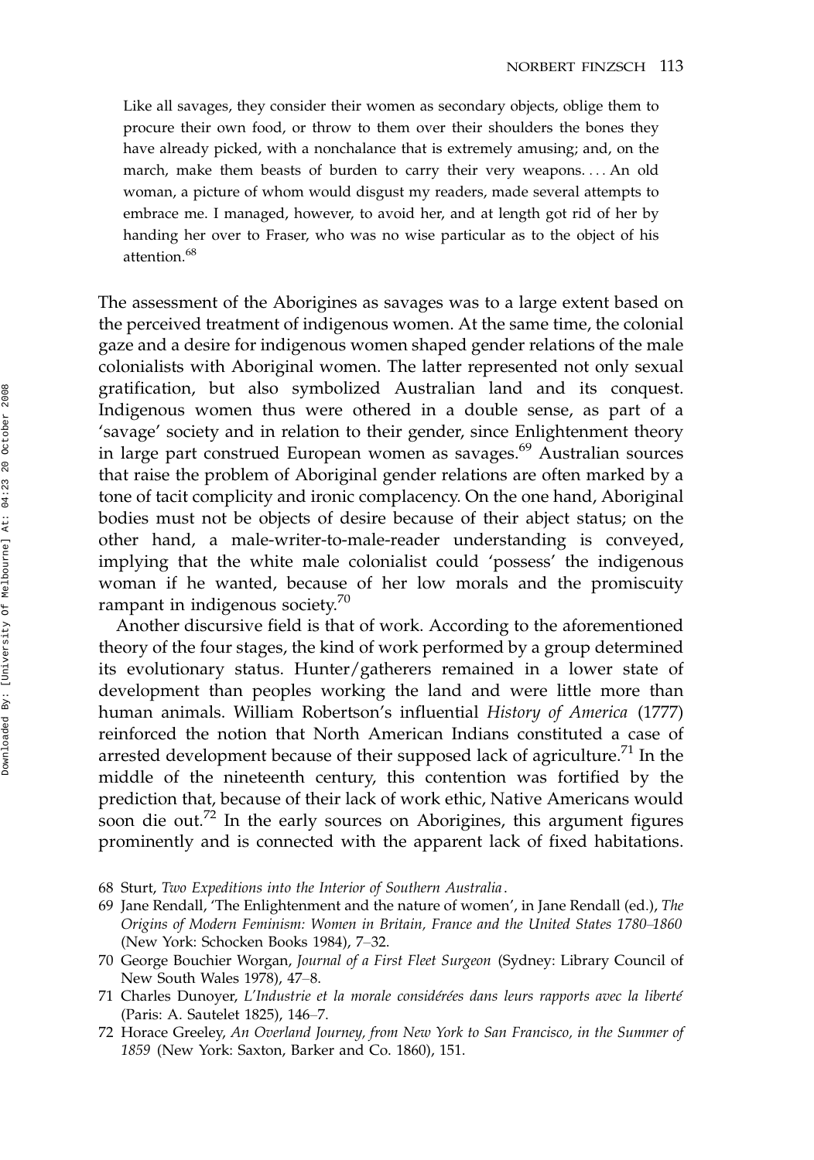Like all savages, they consider their women as secondary objects, oblige them to procure their own food, or throw to them over their shoulders the bones they have already picked, with a nonchalance that is extremely amusing; and, on the march, make them beasts of burden to carry their very weapons. ... An old woman, a picture of whom would disgust my readers, made several attempts to embrace me. I managed, however, to avoid her, and at length got rid of her by handing her over to Fraser, who was no wise particular as to the object of his attention.<sup>68</sup>

The assessment of the Aborigines as savages was to a large extent based on the perceived treatment of indigenous women. At the same time, the colonial gaze and a desire for indigenous women shaped gender relations of the male colonialists with Aboriginal women. The latter represented not only sexual gratification, but also symbolized Australian land and its conquest. Indigenous women thus were othered in a double sense, as part of a 'savage' society and in relation to their gender, since Enlightenment theory in large part construed European women as savages.<sup>69</sup> Australian sources that raise the problem of Aboriginal gender relations are often marked by a tone of tacit complicity and ironic complacency. On the one hand, Aboriginal bodies must not be objects of desire because of their abject status; on the other hand, a male-writer-to-male-reader understanding is conveyed, implying that the white male colonialist could 'possess' the indigenous woman if he wanted, because of her low morals and the promiscuity rampant in indigenous society. $70$ 

Another discursive field is that of work. According to the aforementioned theory of the four stages, the kind of work performed by a group determined its evolutionary status. Hunter/gatherers remained in a lower state of development than peoples working the land and were little more than human animals. William Robertson's influential History of America (1777) reinforced the notion that North American Indians constituted a case of arrested development because of their supposed lack of agriculture.<sup>71</sup> In the middle of the nineteenth century, this contention was fortified by the prediction that, because of their lack of work ethic, Native Americans would soon die out.<sup>72</sup> In the early sources on Aborigines, this argument figures prominently and is connected with the apparent lack of fixed habitations.

- 68 Sturt, Two Expeditions into the Interior of Southern Australia .
- 69 Jane Rendall, 'The Enlightenment and the nature of women', in Jane Rendall (ed.), The Origins of Modern Feminism: Women in Britain, France and the United States 1780–1860 (New York: Schocken Books 1984), 7–32.
- 70 George Bouchier Worgan, Journal of a First Fleet Surgeon (Sydney: Library Council of New South Wales 1978), 47–8.
- 71 Charles Dunoyer, L'Industrie et la morale considérées dans leurs rapports avec la liberté (Paris: A. Sautelet 1825), 146-7.
- 72 Horace Greeley, An Overland Journey, from New York to San Francisco, in the Summer of 1859 (New York: Saxton, Barker and Co. 1860), 151.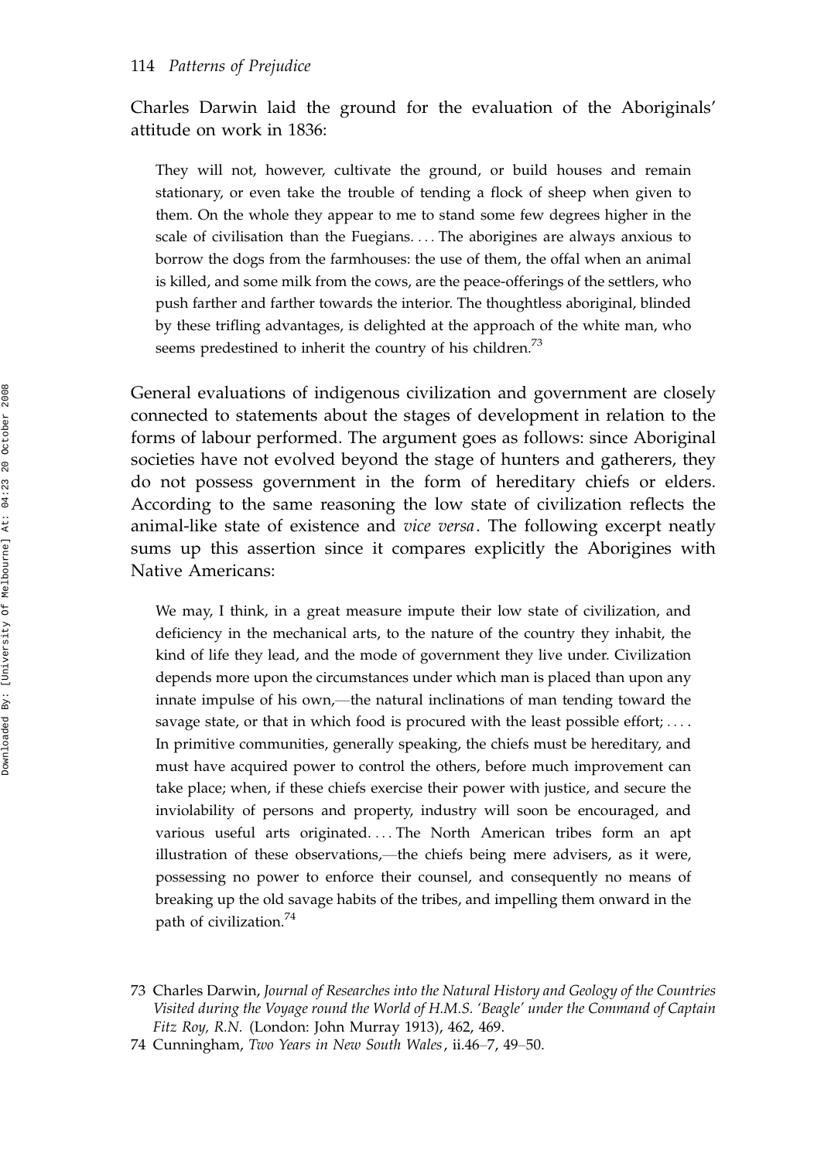Charles Darwin laid the ground for the evaluation of the Aboriginals' attitude on work in 1836:

They will not, however, cultivate the ground, or build houses and remain stationary, or even take the trouble of tending a flock of sheep when given to them. On the whole they appear to me to stand some few degrees higher in the scale of civilisation than the Fuegians. ... The aborigines are always anxious to borrow the dogs from the farmhouses: the use of them, the offal when an animal is killed, and some milk from the cows, are the peace-offerings of the settlers, who push farther and farther towards the interior. The thoughtless aboriginal, blinded by these trifling advantages, is delighted at the approach of the white man, who seems predestined to inherit the country of his children.<sup>73</sup>

General evaluations of indigenous civilization and government are closely connected to statements about the stages of development in relation to the forms of labour performed. The argument goes as follows: since Aboriginal societies have not evolved beyond the stage of hunters and gatherers, they do not possess government in the form of hereditary chiefs or elders. According to the same reasoning the low state of civilization reflects the animal-like state of existence and vice versa. The following excerpt neatly sums up this assertion since it compares explicitly the Aborigines with Native Americans:

We may, I think, in a great measure impute their low state of civilization, and deficiency in the mechanical arts, to the nature of the country they inhabit, the kind of life they lead, and the mode of government they live under. Civilization depends more upon the circumstances under which man is placed than upon any innate impulse of his own,—the natural inclinations of man tending toward the savage state, or that in which food is procured with the least possible effort; .... In primitive communities, generally speaking, the chiefs must be hereditary, and must have acquired power to control the others, before much improvement can take place; when, if these chiefs exercise their power with justice, and secure the inviolability of persons and property, industry will soon be encouraged, and various useful arts originated. ... The North American tribes form an apt illustration of these observations,—the chiefs being mere advisers, as it were, possessing no power to enforce their counsel, and consequently no means of breaking up the old savage habits of the tribes, and impelling them onward in the path of civilization.<sup>74</sup>

<sup>73</sup> Charles Darwin, Journal of Researches into the Natural History and Geology of the Countries Visited during the Voyage round the World of H.M.S. 'Beagle' under the Command of Captain Fitz Roy, R.N. (London: John Murray 1913), 462, 469.

<sup>74</sup> Cunningham, Two Years in New South Wales, ii.46-7, 49-50.